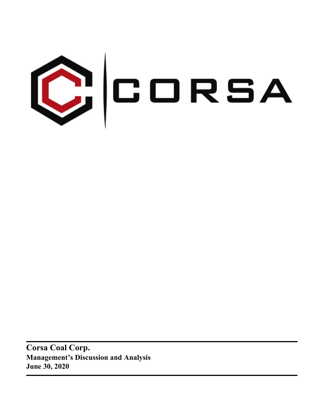

**Corsa Coal Corp. Management's Discussion and Analysis June 30, 2020**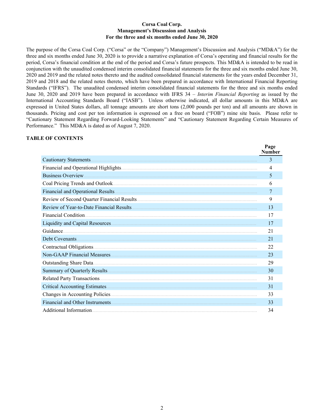#### **Corsa Coal Corp. Management's Discussion and Analysis For the three and six months ended June 30, 2020**

The purpose of the Corsa Coal Corp. ("Corsa" or the "Company") Management's Discussion and Analysis ("MD&A") for the three and six months ended June 30, 2020 is to provide a narrative explanation of Corsa's operating and financial results for the period, Corsa's financial condition at the end of the period and Corsa's future prospects. This MD&A is intended to be read in conjunction with the unaudited condensed interim consolidated financial statements for the three and six months ended June 30, 2020 and 2019 and the related notes thereto and the audited consolidated financial statements for the years ended December 31, 2019 and 2018 and the related notes thereto, which have been prepared in accordance with International Financial Reporting Standards ("IFRS"). The unaudited condensed interim consolidated financial statements for the three and six months ended June 30, 2020 and 2019 have been prepared in accordance with IFRS 34 – *Interim Financial Reporting* as issued by the International Accounting Standards Board ("IASB"). Unless otherwise indicated, all dollar amounts in this MD&A are expressed in United States dollars, all tonnage amounts are short tons (2,000 pounds per ton) and all amounts are shown in thousands. Pricing and cost per ton information is expressed on a free on board ("FOB") mine site basis. Please refer to "Cautionary Statement Regarding Forward-Looking Statements" and "Cautionary Statement Regarding Certain Measures of Performance." This MD&A is dated as of August 7, 2020.

 $\mathbf{p}_{\alpha}$ 

#### **TABLE OF CONTENTS**

| rage<br><b>Number</b> |
|-----------------------|
| 3                     |
| 4                     |
| 5                     |
| 6                     |
| 7                     |
| 9                     |
| 13                    |
| 17                    |
| 17                    |
| 21                    |
| 21                    |
| 22                    |
| 23                    |
| 29                    |
| 30                    |
| 31                    |
| 31                    |
| 33                    |
| 33                    |
| 34                    |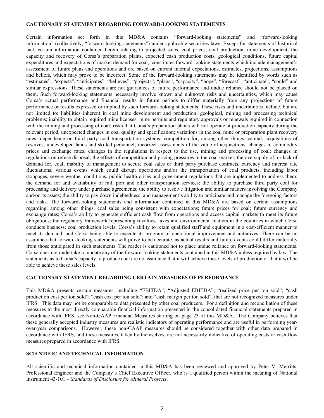#### <span id="page-2-0"></span>**CAUTIONARY STATEMENT REGARDING FORWARD-LOOKING STATEMENTS**

Certain information set forth in this MD&A contains "forward-looking statements" and "forward-looking information" (collectively, "forward looking statements") under applicable securities laws. Except for statements of historical fact, certain information contained herein relating to projected sales, coal prices, coal production, mine development, the capacity and recovery of Corsa's preparation plants, expected cash production costs, geological conditions, future capital expenditures and expectations of market demand for coal, constitutes forward-looking statements which include management's assessment of future plans and operations and are based on current internal expectations, estimates, projections, assumptions and beliefs, which may prove to be incorrect. Some of the forward-looking statements may be identified by words such as "estimates", "expects", "anticipates", "believes", "projects", "plans", "capacity", "hope", "forecast", "anticipate", "could" and similar expressions. These statements are not guarantees of future performance and undue reliance should not be placed on them. Such forward-looking statements necessarily involve known and unknown risks and uncertainties, which may cause Corsa's actual performance and financial results in future periods to differ materially from any projections of future performance or results expressed or implied by such forward-looking statements. These risks and uncertainties include, but are not limited to: liabilities inherent in coal mine development and production; geological, mining and processing technical problems; inability to obtain required mine licenses, mine permits and regulatory approvals or renewals required in connection with the mining and processing of coal; risks that Corsa's preparation plants will not operate at production capacity during the relevant period, unexpected changes in coal quality and specification; variations in the coal mine or preparation plant recovery rates; dependence on third party coal transportation systems; competition for, among other things, capital, acquisitions of reserves, undeveloped lands and skilled personnel; incorrect assessments of the value of acquisitions; changes in commodity prices and exchange rates; changes in the regulations in respect to the use, mining and processing of coal; changes in regulations on refuse disposal; the effects of competition and pricing pressures in the coal market; the oversupply of, or lack of demand for, coal; inability of management to secure coal sales or third party purchase contracts; currency and interest rate fluctuations; various events which could disrupt operations and/or the transportation of coal products, including labor stoppages, severe weather conditions, public health crises and government regulations that are implemented to address them; the demand for and availability of rail, port and other transportation services; the ability to purchase third party coal for processing and delivery under purchase agreements; the ability to resolve litigation and similar matters involving the Company and/or its assets; the ability to pay down indebtedness; and management's ability to anticipate and manage the foregoing factors and risks. The forward-looking statements and information contained in this MD&A are based on certain assumptions regarding, among other things, coal sales being consistent with expectations; future prices for coal; future currency and exchange rates; Corsa's ability to generate sufficient cash flow from operations and access capital markets to meet its future obligations; the regulatory framework representing royalties, taxes and environmental matters in the countries in which Corsa conducts business; coal production levels; Corsa's ability to retain qualified staff and equipment in a cost-efficient manner to meet its demand; and Corsa being able to execute its program of operational improvement and initiatives. There can be no assurance that forward-looking statements will prove to be accurate, as actual results and future events could differ materially from those anticipated in such statements. The reader is cautioned not to place undue reliance on forward-looking statements. Corsa does not undertake to update any of the forward-looking statements contained in this MD&A unless required by law. The statements as to Corsa's capacity to produce coal are no assurance that it will achieve these levels of production or that it will be able to achieve these sales levels.

#### **CAUTIONARY STATEMENT REGARDING CERTAIN MEASURES OF PERFORMANCE**

This MD&A presents certain measures, including "EBITDA"; "Adjusted EBITDA"; "realized price per ton sold"; "cash production cost per ton sold"; "cash cost per ton sold"; and "cash margin per ton sold", that are not recognized measures under IFRS. This data may not be comparable to data presented by other coal producers. For a definition and reconciliation of these measures to the most directly comparable financial information presented in the consolidated financial statements prepared in accordance with IFRS, see Non-GAAP Financial Measures starting on page 23 of this MD&A. The Company believes that these generally accepted industry measures are realistic indicators of operating performance and are useful in performing yearover-year comparisons. However, these non-GAAP measures should be considered together with other data prepared in accordance with IFRS, and these measures, taken by themselves, are not necessarily indicative of operating costs or cash flow measures prepared in accordance with IFRS.

## **SCIENTIFIC AND TECHNICAL INFORMATION**

All scientific and technical information contained in this MD&A has been reviewed and approved by Peter V. Merritts, Professional Engineer and the Company's Chief Executive Officer, who is a qualified person within the meaning of National Instrument 43-101 – *Standards of Disclosure for Mineral Projects*.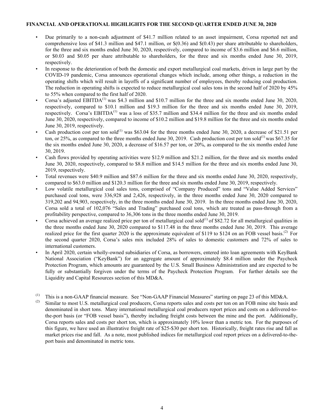#### <span id="page-3-0"></span>**FINANCIAL AND OPERATIONAL HIGHLIGHTS FOR THE SECOND QUARTER ENDED JUNE 30, 2020**

- Due primarily to a non-cash adjustment of \$41.7 million related to an asset impairment, Corsa reported net and comprehensive loss of \$41.3 million and \$47.1 million, or \$(0.36) and \$(0.43) per share attributable to shareholders, for the three and six months ended June 30, 2020, respectively, compared to income of \$3.6 million and \$6.6 million, or \$0.03 and \$0.05 per share attributable to shareholders, for the three and six months ended June 30, 2019, respectively.
- In response to the deterioration of both the domestic and export metallurgical coal markets, driven in large part by the COVID-19 pandemic, Corsa announces operational changes which include, among other things, a reduction in the operating shifts which will result in layoffs of a significant number of employees, thereby reducing coal production. The reduction in operating shifts is expected to reduce metallurgical coal sales tons in the second half of 2020 by 45% to 55% when compared to the first half of 2020.
- Corsa's adjusted EBITDA<sup>(1)</sup> was \$4.3 million and \$10.7 million for the three and six months ended June 30, 2020, respectively, compared to \$10.1 million and \$19.3 million for the three and six months ended June 30, 2019, respectively. Corsa's EBITDA $^{(1)}$  was a loss of \$35.7 million and \$34.4 million for the three and six months ended June 30, 2020, respectively, compared to income of \$10.2 million and \$19.8 million for the three and six months ended June 30, 2019, respectively.
- Cash production cost per ton sold<sup>(1)</sup> was \$63.04 for the three months ended June 30, 2020, a decrease of \$21.51 per ton, or 25%, as compared to the three months ended June 30, 2019. Cash production cost per ton sold<sup>(1)</sup> was \$67.35 for the six months ended June 30, 2020, a decrease of \$16.57 per ton, or 20%, as compared to the six months ended June 30, 2019.
- Cash flows provided by operating activities were \$12.9 million and \$21.2 million, for the three and six months ended June 30, 2020, respectively, compared to \$8.8 million and \$14.5 million for the three and six months ended June 30, 2019, respectively.
- Total revenues were \$40.9 million and \$87.6 million for the three and six months ended June 30, 2020, respectively, compared to \$63.0 million and \$120.3 million for the three and six months ended June 30, 2019, respectively.
- Low volatile metallurgical coal sales tons, comprised of "Company Produced" tons and "Value Added Services" purchased coal tons, were 336,928 and 2,426, respectively, in the three months ended June 30, 2020 compared to 319,202 and 94,903, respectively, in the three months ended June 30, 2019. In the three months ended June 30, 2020, Corsa sold a total of 102,076 "Sales and Trading" purchased coal tons, which are treated as pass-through from a profitability perspective, compared to 36,306 tons in the three months ended June 30, 2019.
- Corsa achieved an average realized price per ton of metallurgical coal sold $^{(1)}$  of \$82.72 for all metallurgical qualities in the three months ended June 30, 2020 compared to \$117.48 in the three months ended June 30, 2019. This average realized price for the first quarter 2020 is the approximate equivalent of \$119 to \$124 on an FOB vessel basis.<sup>(2)</sup> For the second quarter 2020, Corsa's sales mix included 28% of sales to domestic customers and 72% of sales to international customers.
- In April 2020, certain wholly-owned subsidiaries of Corsa, as borrowers, entered into loan agreements with KeyBank National Association ("KeyBank") for an aggregate amount of approximately \$8.4 million under the Paycheck Protection Program, which amounts are guaranteed by the U.S. Small Business Administration and are expected to be fully or substantially forgiven under the terms of the Paycheck Protection Program. For further details see the Liquidity and Capital Resources section of this MD&A.
- (1) This is a non-GAAP financial measure. See "Non-GAAP Financial Measures" starting on page 23 of this MD&A.<br>(2) Similar to most U.S. metallurgical coal producers. Corsa reports sales and costs per top on an EOB mine sit
- Similar to most U.S. metallurgical coal producers, Corsa reports sales and costs per ton on an FOB mine site basis and denominated in short tons. Many international metallurgical coal producers report prices and costs on a delivered-tothe-port basis (or "FOB vessel basis"), thereby including freight costs between the mine and the port. Additionally, Corsa reports sales and costs per short ton, which is approximately 10% lower than a metric ton. For the purposes of this figure, we have used an illustrative freight rate of \$25-\$30 per short ton. Historically, freight rates rise and fall as market prices rise and fall. As a note, most published indices for metallurgical coal report prices on a delivered-to-theport basis and denominated in metric tons.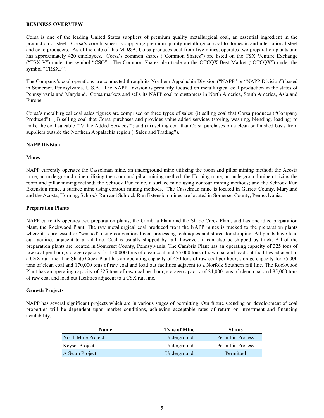#### <span id="page-4-0"></span>**BUSINESS OVERVIEW**

Corsa is one of the leading United States suppliers of premium quality metallurgical coal, an essential ingredient in the production of steel. Corsa's core business is supplying premium quality metallurgical coal to domestic and international steel and coke producers. As of the date of this MD&A, Corsa produces coal from five mines, operates two preparation plants and has approximately 420 employees. Corsa's common shares ("Common Shares") are listed on the TSX Venture Exchange ("TSX-V") under the symbol "CSO". The Common Shares also trade on the OTCQX Best Market ("OTCQX") under the symbol "CRSXF".

The Company's coal operations are conducted through its Northern Appalachia Division ("NAPP" or "NAPP Division") based in Somerset, Pennsylvania, U.S.A. The NAPP Division is primarily focused on metallurgical coal production in the states of Pennsylvania and Maryland. Corsa markets and sells its NAPP coal to customers in North America, South America, Asia and Europe.

Corsa's metallurgical coal sales figures are comprised of three types of sales: (i) selling coal that Corsa produces ("Company Produced"); (ii) selling coal that Corsa purchases and provides value added services (storing, washing, blending, loading) to make the coal saleable ("Value Added Services"); and (iii) selling coal that Corsa purchases on a clean or finished basis from suppliers outside the Northern Appalachia region ("Sales and Trading").

#### **NAPP Division**

#### **Mines**

NAPP currently operates the Casselman mine, an underground mine utilizing the room and pillar mining method; the Acosta mine, an underground mine utilizing the room and pillar mining method; the Horning mine, an underground mine utilizing the room and pillar mining method; the Schrock Run mine, a surface mine using contour mining methods; and the Schrock Run Extension mine, a surface mine using contour mining methods. The Casselman mine is located in Garrett County, Maryland and the Acosta, Horning, Schrock Run and Schrock Run Extension mines are located in Somerset County, Pennsylvania.

#### **Preparation Plants**

NAPP currently operates two preparation plants, the Cambria Plant and the Shade Creek Plant, and has one idled preparation plant, the Rockwood Plant. The raw metallurgical coal produced from the NAPP mines is trucked to the preparation plants where it is processed or "washed" using conventional coal processing techniques and stored for shipping. All plants have load out facilities adjacent to a rail line. Coal is usually shipped by rail; however, it can also be shipped by truck. All of the preparation plants are located in Somerset County, Pennsylvania. The Cambria Plant has an operating capacity of 325 tons of raw coal per hour, storage capacity for 130,000 tons of clean coal and 55,000 tons of raw coal and load out facilities adjacent to a CSX rail line. The Shade Creek Plant has an operating capacity of 450 tons of raw coal per hour, storage capacity for 75,000 tons of clean coal and 170,000 tons of raw coal and load out facilities adjacent to a Norfolk Southern rail line. The Rockwood Plant has an operating capacity of 325 tons of raw coal per hour, storage capacity of 24,000 tons of clean coal and 85,000 tons of raw coal and load out facilities adjacent to a CSX rail line.

## **Growth Projects**

NAPP has several significant projects which are in various stages of permitting. Our future spending on development of coal properties will be dependent upon market conditions, achieving acceptable rates of return on investment and financing availability.

| <b>Name</b>        | <b>Type of Mine</b> | <b>Status</b>     |
|--------------------|---------------------|-------------------|
| North Mine Project | Underground         | Permit in Process |
| Keyser Project     | Underground         | Permit in Process |
| A Seam Project     | Underground         | Permitted         |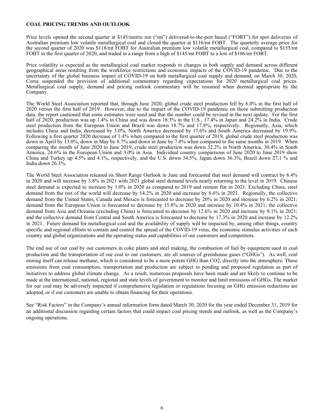#### <span id="page-5-0"></span>**COAL PRICING TRENDS AND OUTLOOK**

Price levels opened the second quarter at \$145/metric ton ("mt") delivered-to-the-port based ("FOBT") for spot deliveries of Australian premium low volatile metallurgical coal and closed the quarter at \$116/mt FOBT. The quarterly average price for the second quarter of 2020 was \$118/mt FOBT for Australian premium low volatile metallurgical coal, compared to \$155/mt FOBT in the first quarter of 2020, and traded in a range from a high of \$145/mt FOBT to a low of \$106/mt FOBT.

Price volatility is expected as the metallurgical coal market responds to changes in both supply and demand across different geographical areas resulting from the workforce restrictions and economic impacts of the COVID-19 pandemic. Due to the uncertainty of the global business impact of COVID-19 on both metallurgical coal supply and demand, on March 30, 2020, Corsa suspended the provision of additional commentary regarding expectations for 2020 metallurgical coal prices. Metallurgical coal supply, demand and pricing outlook commentary will be resumed when deemed appropriate by the Company.

The World Steel Association reported that, through June 2020, global crude steel production fell by 6.0% in the first half of 2020 versus the first half of 2019. However, due to the impact of the COVID-19 pandemic on those submitting production data, the report cautioned that some estimates were used and that the number could be revised in the next update. For the first half of 2020, production was up 1.4% in China and was down 18.3% in the U.S., 17.4% in Japan and 24.2% in India. Crude steel production from the European Union and Brazil was down 18.7% and 17.8%, respectively. Regionally, Asia, which includes China and India, decreased by 3.0%, North America decreased by 17.6% and South America decreased by 19.9%. Following a first quarter 2020 decrease of 1.4% when compared to the first quarter of 2019, global crude steel production was down in April by 13.0%, down in May by 8.7% and down in June by 7.0% when compared to the same months in 2019. When comparing the month of June 2020 to June 2019, crude steel production was down 32.2% in North America, 30.4% in South America, 24.6% in the European Union and 3.0% in Asia. Individual country comparisons of June 2020 to June 2019 show China and Turkey up 4.5% and 4.1%, respectively, and the U.S. down 34.5%, Japan down 36.3%, Brazil down 27.1 % and India down 26.3%.

The World Steel Association released its Short Range Outlook in June and forecasted that steel demand will contract by 6.4% in 2020 and will increase by 3.8% in 2021 with 2021 global steel demand levels nearly returning to the level in 2019. Chinese steel demand is expected to increase by 1.0% in 2020 as compared to 2019 and remain flat in 2021. Excluding China, steel demand from the rest of the world will decrease by 14.2% in 2020 and increase by 8.6% in 2021. Regionally, the collective demand from the United States, Canada and Mexico is forecasted to decrease by 20% in 2020 and increase by 6.2% in 2021; demand from the European Union is forecasted to decrease by 15.8% in 2020 and increase by 10.4% in 2021; the collective demand from Asia and Oceania (excluding China) is forecasted to decrease by 12.6% in 2020 and increase by 8.1% in 2021; and the collective demand from Central and South America is forecasted to decrease by 17.3% in 2020 and increase by 12.2% in 2021. Future demand for metallurgical coal and the availability of supply will be impacted by, among other things, country specific and regional efforts to contain and control the spread of the COVID-19 virus, the economic stimulus activities of each country and global organizations and the operating status and capabilities of our customers and competitors.

The end use of our coal by our customers in coke plants and steel making, the combustion of fuel by equipment used in coal production and the transportation of our coal to our customers, are all sources of greenhouse gases ("GHGs"). As well, coal mining itself can release methane, which is considered to be a more potent GHG than CO2, directly into the atmosphere. These emissions from coal consumption, transportation and production are subject to pending and proposed regulation as part of initiatives to address global climate change. As a result, numerous proposals have been made and are likely to continue to be made at the international, national, regional and state levels of government to monitor and limit emissions of GHGs. The market for our coal may be adversely impacted if comprehensive legislation or regulations focusing on GHG emission reductions are adopted, or if our customers are unable to obtain financing for their operations.

See "Risk Factors" in the Company's annual information form dated March 30, 2020 for the year ended December 31, 2019 for an additional discussion regarding certain factors that could impact coal pricing trends and outlook, as well as the Company's ongoing operations.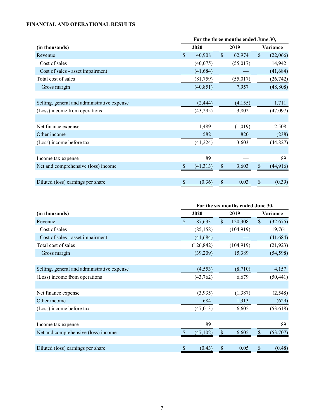# <span id="page-6-0"></span>**FINANCIAL AND OPERATIONAL RESULTS**

|                                             | For the three months ended June 30, |           |              |          |               |           |  |  |
|---------------------------------------------|-------------------------------------|-----------|--------------|----------|---------------|-----------|--|--|
| (in thousands)                              |                                     | 2020      |              | 2019     |               | Variance  |  |  |
| Revenue                                     | $\mathbf{s}$                        | 40,908    | $\mathbb{S}$ | 62,974   | $\mathsf{\$}$ | (22,066)  |  |  |
| Cost of sales                               |                                     | (40,075)  |              | (55,017) |               | 14,942    |  |  |
| Cost of sales - asset impairment            |                                     | (41, 684) |              |          |               | (41, 684) |  |  |
| Total cost of sales                         |                                     | (81,759)  |              | (55,017) |               | (26, 742) |  |  |
| Gross margin                                |                                     | (40, 851) |              | 7,957    |               | (48, 808) |  |  |
|                                             |                                     |           |              |          |               |           |  |  |
| Selling, general and administrative expense |                                     | (2, 444)  |              | (4,155)  |               | 1,711     |  |  |
| (Loss) income from operations               |                                     | (43,295)  |              | 3,802    |               | (47,097)  |  |  |
|                                             |                                     |           |              |          |               |           |  |  |
| Net finance expense                         |                                     | 1,489     |              | (1,019)  |               | 2,508     |  |  |
| Other income                                |                                     | 582       |              | 820      |               | (238)     |  |  |
| (Loss) income before tax                    |                                     | (41, 224) |              | 3,603    |               | (44, 827) |  |  |
|                                             |                                     |           |              |          |               |           |  |  |
| Income tax expense                          |                                     | 89        |              |          |               | 89        |  |  |
| Net and comprehensive (loss) income         |                                     | (41, 313) | S            | 3,603    | \$            | (44, 916) |  |  |
|                                             |                                     |           |              |          |               |           |  |  |
| Diluted (loss) earnings per share           | S                                   | (0.36)    | \$           | 0.03     | \$            | (0.39)    |  |  |

|                                             | For the six months ended June 30, |            |              |            |               |           |  |  |
|---------------------------------------------|-----------------------------------|------------|--------------|------------|---------------|-----------|--|--|
| (in thousands)                              | 2020<br>2019                      |            |              | Variance   |               |           |  |  |
| Revenue                                     | $\mathbf{\hat{S}}$                | 87,633     | $\mathbb{S}$ | 120,308    | $\mathcal{S}$ | (32,675)  |  |  |
| Cost of sales                               |                                   | (85, 158)  |              | (104, 919) |               | 19,761    |  |  |
| Cost of sales - asset impairment            |                                   | (41, 684)  |              |            |               | (41, 684) |  |  |
| Total cost of sales                         |                                   | (126, 842) |              | (104, 919) |               | (21, 923) |  |  |
| Gross margin                                |                                   | (39,209)   |              | 15,389     |               | (54, 598) |  |  |
|                                             |                                   |            |              |            |               |           |  |  |
| Selling, general and administrative expense |                                   | (4, 553)   |              | (8,710)    |               | 4,157     |  |  |
| (Loss) income from operations               |                                   | (43,762)   |              | 6,679      |               | (50, 441) |  |  |
|                                             |                                   |            |              |            |               |           |  |  |
| Net finance expense                         |                                   | (3,935)    |              | (1,387)    |               | (2, 548)  |  |  |
| Other income                                |                                   | 684        |              | 1,313      |               | (629)     |  |  |
| (Loss) income before tax                    |                                   | (47, 013)  |              | 6,605      |               | (53, 618) |  |  |
|                                             |                                   |            |              |            |               |           |  |  |
| Income tax expense                          |                                   | 89         |              |            |               | 89        |  |  |
| Net and comprehensive (loss) income         |                                   | (47, 102)  | \$           | 6,605      | \$            | (53,707)  |  |  |
|                                             |                                   |            |              |            |               |           |  |  |
| Diluted (loss) earnings per share           | \$                                | (0.43)     |              | 0.05       | \$            | (0.48)    |  |  |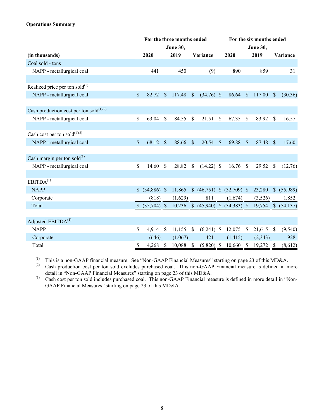# **Operations Summary**

|                                               |               |                 |               | For the three months ended |               |                                   | For the six months ended |          |               |                 |                |           |  |
|-----------------------------------------------|---------------|-----------------|---------------|----------------------------|---------------|-----------------------------------|--------------------------|----------|---------------|-----------------|----------------|-----------|--|
|                                               |               |                 |               | <b>June 30,</b>            |               |                                   |                          |          |               | <b>June 30,</b> |                |           |  |
| (in thousands)                                |               | 2020            |               | 2019                       |               | Variance                          |                          | 2020     |               | 2019            |                | Variance  |  |
| Coal sold - tons                              |               |                 |               |                            |               |                                   |                          |          |               |                 |                |           |  |
| NAPP - metallurgical coal                     |               | 441             |               | 450                        |               | (9)                               |                          | 890      |               | 859             |                | 31        |  |
|                                               |               |                 |               |                            |               |                                   |                          |          |               |                 |                |           |  |
| Realized price per ton sold $^{(1)}$          |               |                 |               |                            |               |                                   |                          |          |               |                 |                |           |  |
| NAPP - metallurgical coal                     | $\mathcal{S}$ | 82.72           | <sup>\$</sup> | 117.48                     | $\mathbb{S}$  | $(34.76)$ \$                      |                          | 86.64    | $\mathcal{S}$ | 117.00          | $\mathcal{S}$  | (30.36)   |  |
| Cash production cost per ton sold $^{(1)(2)}$ |               |                 |               |                            |               |                                   |                          |          |               |                 |                |           |  |
| NAPP - metallurgical coal                     | \$            | 63.04           | \$            | 84.55                      | <sup>\$</sup> | 21.51                             | <sup>\$</sup>            | 67.35    | -S            | 83.92           | S              | 16.57     |  |
|                                               |               |                 |               |                            |               |                                   |                          |          |               |                 |                |           |  |
| Cash cost per ton sold $^{(1)(3)}$            |               |                 |               |                            |               |                                   |                          |          |               |                 |                |           |  |
| NAPP - metallurgical coal                     | $\mathsf{\$}$ | 68.12           | $\mathbb{S}$  | 88.66                      | $\mathbb{S}$  | 20.54                             | $\mathbb{S}$             | 69.88    | $\mathcal{S}$ | 87.48           | <sup>\$</sup>  | 17.60     |  |
| Cash margin per ton sold $^{(1)}$             |               |                 |               |                            |               |                                   |                          |          |               |                 |                |           |  |
| NAPP - metallurgical coal                     | \$            | 14.60           | $\mathcal{S}$ | 28.82                      | $\mathbb{S}$  | $(14.22)$ \$                      |                          | 16.76    | $\mathcal{S}$ | 29.52           | $\mathcal{S}$  | (12.76)   |  |
|                                               |               |                 |               |                            |               |                                   |                          |          |               |                 |                |           |  |
| EBITDA <sup>(1)</sup>                         |               |                 |               |                            |               |                                   |                          |          |               |                 |                |           |  |
| <b>NAPP</b>                                   |               | $$$ (34,886) \$ |               | 11,865                     |               | $(46,751)$ \$ $(32,709)$ \$       |                          |          |               | 23,280          | $\mathbb{S}^-$ | (55,989)  |  |
| Corporate                                     |               | (818)           |               | (1,629)                    |               | 811                               |                          | (1,674)  |               | (3,526)         |                | 1,852     |  |
| Total                                         |               |                 |               |                            |               | 10,236 \$ (45,940) \$ (34,383) \$ |                          |          |               | 19,754          | $\mathbb{S}$   | (54, 137) |  |
|                                               |               |                 |               |                            |               |                                   |                          |          |               |                 |                |           |  |
| Adjusted EBITDA <sup>(1)</sup>                |               |                 |               |                            |               |                                   |                          |          |               |                 |                |           |  |
| <b>NAPP</b>                                   | \$            | 4,914           | \$            | 11,155                     | \$            | $(6,241)$ \$                      |                          | 12,075   | -\$           | 21,615          | $\mathbb{S}$   | (9, 540)  |  |
| Corporate                                     |               | (646)           |               | (1,067)                    |               | 421                               |                          | (1, 415) |               | (2, 343)        |                | 928       |  |
| Total                                         | \$            | 4,268           | $\mathcal{S}$ | 10,088                     | \$            | $(5,820)$ \$                      |                          | 10,660   | $\mathcal{S}$ | 19,272          | \$             | (8,612)   |  |

(1) This is a non-GAAP financial measure. See "Non-GAAP Financial Measures" starting on page 23 of this MD&A.<br>(2) Cash production cost per ton sold excludes purchased coal. This non-GAAP Financial measure is defined in m

Cash production cost per ton sold excludes purchased coal. This non-GAAP Financial measure is defined in more detail in "Non-GAAP Financial Measures" starting on page 23 of this MD&A.

(3) Cash cost per ton sold includes purchased coal. This non-GAAP Financial measure is defined in more detail in "Non-GAAP Financial Measures" starting on page 23 of this MD&A.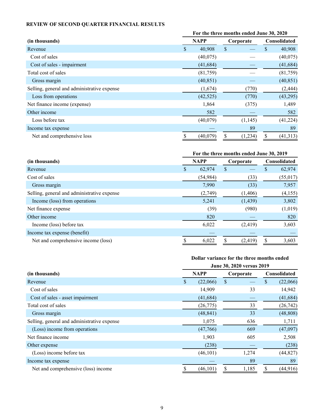# <span id="page-8-0"></span>**REVIEW OF SECOND QUARTER FINANCIAL RESULTS**

|                                             | For the three months ended June 30, 2020 |           |    |           |              |           |  |  |  |
|---------------------------------------------|------------------------------------------|-----------|----|-----------|--------------|-----------|--|--|--|
| (in thousands)                              | <b>NAPP</b>                              |           |    | Corporate | Consolidated |           |  |  |  |
| Revenue                                     | \$.                                      | 40,908    | \$ |           | S            | 40,908    |  |  |  |
| Cost of sales                               |                                          | (40,075)  |    |           |              | (40,075)  |  |  |  |
| Cost of sales - impairment                  |                                          | (41, 684) |    |           |              | (41, 684) |  |  |  |
| Total cost of sales                         |                                          | (81,759)  |    |           |              | (81,759)  |  |  |  |
| Gross margin                                |                                          | (40, 851) |    |           |              | (40, 851) |  |  |  |
| Selling, general and administrative expense |                                          | (1,674)   |    | (770)     |              | (2, 444)  |  |  |  |
| Loss from operations                        |                                          | (42, 525) |    | (770)     |              | (43,295)  |  |  |  |
| Net finance income (expense)                |                                          | 1,864     |    | (375)     |              | 1,489     |  |  |  |
| Other income                                |                                          | 582       |    |           |              | 582       |  |  |  |
| Loss before tax                             |                                          | (40,079)  |    | (1,145)   |              | (41, 224) |  |  |  |
| Income tax expense                          |                                          |           |    | 89        |              | 89        |  |  |  |
| Net and comprehensive loss                  |                                          | (40,079)  |    | (1,234)   | S            | (41, 313) |  |  |  |

## **For the three months ended June 30, 2019**

| (in thousands)                              | <b>NAPP</b> |           | Corporate |          | <b>Consolidated</b> |
|---------------------------------------------|-------------|-----------|-----------|----------|---------------------|
| Revenue                                     | S           | 62,974    | \$        |          | \$<br>62,974        |
| Cost of sales                               |             | (54, 984) |           | (33)     | (55, 017)           |
| Gross margin                                |             | 7,990     |           | (33)     | 7,957               |
| Selling, general and administrative expense |             | (2,749)   |           | (1,406)  | (4,155)             |
| Income (loss) from operations               |             | 5,241     |           | (1, 439) | 3,802               |
| Net finance expense                         |             | (39)      |           | (980)    | (1,019)             |
| Other income                                |             | 820       |           |          | 820                 |
| Income (loss) before tax                    |             | 6,022     |           | (2, 419) | 3,603               |
| Income tax expense (benefit)                |             |           |           |          |                     |
| Net and comprehensive income (loss)         |             | 6,022     |           | (2, 419) | 3,603               |

# **Dollar variance for the three months ended**

|                                             | June 30, 2020 versus 2019 |             |    |           |    |              |  |
|---------------------------------------------|---------------------------|-------------|----|-----------|----|--------------|--|
| (in thousands)                              |                           | <b>NAPP</b> |    | Corporate |    | Consolidated |  |
| Revenue                                     | \$                        | (22,066)    | \$ |           | \$ | (22,066)     |  |
| Cost of sales                               |                           | 14,909      |    | 33        |    | 14,942       |  |
| Cost of sales - asset impairment            |                           | (41, 684)   |    |           |    | (41, 684)    |  |
| Total cost of sales                         |                           | (26, 775)   |    | 33        |    | (26, 742)    |  |
| Gross margin                                |                           | (48, 841)   |    | 33        |    | (48, 808)    |  |
| Selling, general and administrative expense |                           | 1,075       |    | 636       |    | 1,711        |  |
| (Loss) income from operations               |                           | (47,766)    |    | 669       |    | (47,097)     |  |
| Net finance income                          |                           | 1,903       |    | 605       |    | 2,508        |  |
| Other expense                               |                           | (238)       |    |           |    | (238)        |  |
| (Loss) income before tax                    |                           | (46, 101)   |    | 1,274     |    | (44, 827)    |  |
| Income tax expense                          |                           |             |    | 89        |    | 89           |  |
| Net and comprehensive (loss) income         |                           | (46, 101)   |    | 1,185     | \$ | (44, 916)    |  |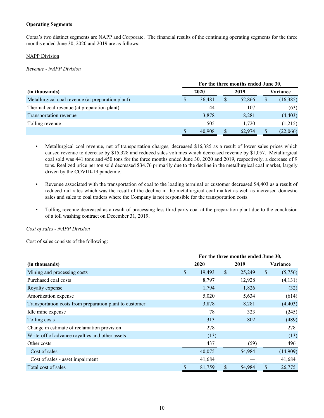## **Operating Segments**

Corsa's two distinct segments are NAPP and Corporate. The financial results of the continuing operating segments for the three months ended June 30, 2020 and 2019 are as follows:

# NAPP Division

*Revenue - NAPP Division*

|                                                   |      | For the three months ended June 30, |      |        |          |           |  |  |  |  |
|---------------------------------------------------|------|-------------------------------------|------|--------|----------|-----------|--|--|--|--|
| (in thousands)                                    | 2020 |                                     | 2019 |        | Variance |           |  |  |  |  |
| Metallurgical coal revenue (at preparation plant) | D    | 36,481                              |      | 52,866 | S        | (16, 385) |  |  |  |  |
| Thermal coal revenue (at preparation plant)       |      | 44                                  |      | 107    |          | (63)      |  |  |  |  |
| Transportation revenue                            |      | 3,878                               |      | 8,281  |          | (4, 403)  |  |  |  |  |
| Tolling revenue                                   |      | 505                                 |      | 1,720  |          | (1,215)   |  |  |  |  |
|                                                   |      | 40,908                              |      | 62,974 |          | (22,066)  |  |  |  |  |

- Metallurgical coal revenue, net of transportation charges, decreased \$16,385 as a result of lower sales prices which caused revenue to decrease by \$15,328 and reduced sales volumes which decreased revenue by \$1,057. Metallurgical coal sold was 441 tons and 450 tons for the three months ended June 30, 2020 and 2019, respectively, a decrease of 9 tons. Realized price per ton sold decreased \$34.76 primarily due to the decline in the metallurgical coal market, largely driven by the COVID-19 pandemic.
- Revenue associated with the transportation of coal to the loading terminal or customer decreased \$4,403 as a result of reduced rail rates which was the result of the decline in the metallurgical coal market as well as increased domestic sales and sales to coal traders where the Company is not responsible for the transportation costs.
- Tolling revenue decreased as a result of processing less third party coal at the preparation plant due to the conclusion of a toll washing contract on December 31, 2019.

*Cost of sales - NAPP Division*

Cost of sales consists of the following:

|                                                         | For the three months ended June 30, |      |        |    |          |  |  |  |  |
|---------------------------------------------------------|-------------------------------------|------|--------|----|----------|--|--|--|--|
| (in thousands)                                          | 2020                                | 2019 |        |    | Variance |  |  |  |  |
| Mining and processing costs                             | \$<br>19,493                        | \$   | 25,249 | \$ | (5,756)  |  |  |  |  |
| Purchased coal costs                                    | 8,797                               |      | 12,928 |    | (4,131)  |  |  |  |  |
| Royalty expense                                         | 1,794                               |      | 1,826  |    | (32)     |  |  |  |  |
| Amortization expense                                    | 5,020                               |      | 5,634  |    | (614)    |  |  |  |  |
| Transportation costs from preparation plant to customer | 3,878                               |      | 8,281  |    | (4, 403) |  |  |  |  |
| Idle mine expense                                       | 78                                  |      | 323    |    | (245)    |  |  |  |  |
| Tolling costs                                           | 313                                 |      | 802    |    | (489)    |  |  |  |  |
| Change in estimate of reclamation provision             | 278                                 |      |        |    | 278      |  |  |  |  |
| Write-off of advance royalties and other assets         | (13)                                |      |        |    | (13)     |  |  |  |  |
| Other costs                                             | 437                                 |      | (59)   |    | 496      |  |  |  |  |
| Cost of sales                                           | 40,075                              |      | 54,984 |    | (14,909) |  |  |  |  |
| Cost of sales - asset impairment                        | 41,684                              |      |        |    | 41,684   |  |  |  |  |
| Total cost of sales                                     | \$<br>81,759                        | \$   | 54,984 | \$ | 26,775   |  |  |  |  |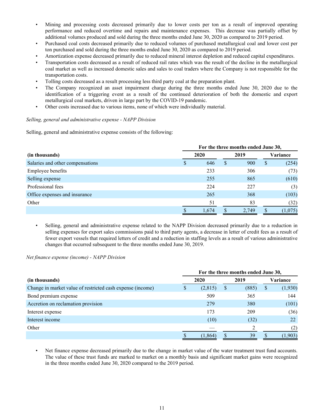- Mining and processing costs decreased primarily due to lower costs per ton as a result of improved operating performance and reduced overtime and repairs and maintenance expenses. This decrease was partially offset by additional volumes produced and sold during the three months ended June 30, 2020 as compared to 2019 period.
- Purchased coal costs decreased primarily due to reduced volumes of purchased metallurgical coal and lower cost per ton purchased and sold during the three months ended June 30, 2020 as compared to 2019 period.
- Amortization expense decreased primarily due to reduced mineral interest depletion and reduced capital expenditures.
- Transportation costs decreased as a result of reduced rail rates which was the result of the decline in the metallurgical coal market as well as increased domestic sales and sales to coal traders where the Company is not responsible for the transportation costs.
- Tolling costs decreased as a result processing less third party coal at the preparation plant.
- The Company recognized an asset impairment charge during the three months ended June 30, 2020 due to the identification of a triggering event as a result of the continued deterioration of both the domestic and export metallurgical coal markets, driven in large part by the COVID-19 pandemic.
- Other costs increased due to various items, none of which were individually material.

#### *Selling, general and administrative expense - NAPP Division*

Selling, general and administrative expense consists of the following:

|                                  | For the three months ended June 30, |       |              |       |          |         |  |  |  |
|----------------------------------|-------------------------------------|-------|--------------|-------|----------|---------|--|--|--|
| (in thousands)                   | 2020                                |       |              | 2019  | Variance |         |  |  |  |
| Salaries and other compensations | D                                   | 646   | <sup>S</sup> | 900   | \$       | (254)   |  |  |  |
| <b>Employee benefits</b>         |                                     | 233   |              | 306   |          | (73)    |  |  |  |
| Selling expense                  |                                     | 255   |              | 865   |          | (610)   |  |  |  |
| Professional fees                |                                     | 224   |              | 227   |          | (3)     |  |  |  |
| Office expenses and insurance    |                                     | 265   |              | 368   |          | (103)   |  |  |  |
| Other                            |                                     | 51    |              | 83    |          | (32)    |  |  |  |
|                                  |                                     | 1,674 |              | 2,749 |          | (1,075) |  |  |  |

• Selling, general and administrative expense related to the NAPP Division decreased primarily due to a reduction in selling expenses for export sales commissions paid to third party agents, a decrease in letter of credit fees as a result of fewer export vessels that required letters of credit and a reduction in staffing levels as a result of various administrative changes that occurred subsequent to the three months ended June 30, 2019.

*Net finance expense (income) - NAPP Division*

|                                                            | For the three months ended June 30, |          |   |       |    |          |  |  |  |
|------------------------------------------------------------|-------------------------------------|----------|---|-------|----|----------|--|--|--|
| (in thousands)                                             |                                     | 2020     |   | 2019  |    | Variance |  |  |  |
| Change in market value of restricted cash expense (income) |                                     | (2, 815) | S | (885) | \$ | (1,930)  |  |  |  |
| Bond premium expense                                       |                                     | 509      |   | 365   |    | 144      |  |  |  |
| Accretion on reclamation provision                         |                                     | 279      |   | 380   |    | (101)    |  |  |  |
| Interest expense                                           |                                     | 173      |   | 209   |    | (36)     |  |  |  |
| Interest income                                            |                                     | (10)     |   | (32)  |    | 22       |  |  |  |
| Other                                                      |                                     |          |   |       |    | (2)      |  |  |  |
|                                                            |                                     | (1, 864) |   | 39    |    | 1,903)   |  |  |  |

Net finance expense decreased primarily due to the change in market value of the water treatment trust fund accounts. The value of these trust funds are marked to market on a monthly basis and significant market gains were recognized in the three months ended June 30, 2020 compared to the 2019 period.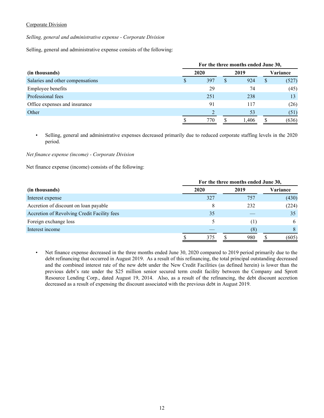## Corporate Division

*Selling, general and administrative expense - Corporate Division*

Selling, general and administrative expense consists of the following:

|                                  | For the three months ended June 30, |   |       |    |          |  |  |
|----------------------------------|-------------------------------------|---|-------|----|----------|--|--|
| (in thousands)                   | 2020                                |   | 2019  |    | Variance |  |  |
| Salaries and other compensations | 397                                 | S | 924   | \$ | (527)    |  |  |
| <b>Employee benefits</b>         | 29                                  |   | 74    |    | (45)     |  |  |
| Professional fees                | 251                                 |   | 238   |    | 13       |  |  |
| Office expenses and insurance    | 91                                  |   | 117   |    | (26)     |  |  |
| Other                            |                                     |   | 53    |    | (51)     |  |  |
|                                  | 770                                 |   | 1.406 |    | (636)    |  |  |

• Selling, general and administrative expenses decreased primarily due to reduced corporate staffing levels in the 2020 period.

## *Net finance expense (income) - Corporate Division*

Net finance expense (income) consists of the following:

|                                             | For the three months ended June 30, |     |  |         |  |          |  |  |
|---------------------------------------------|-------------------------------------|-----|--|---------|--|----------|--|--|
| (in thousands)                              | 2020                                |     |  | 2019    |  | Variance |  |  |
| Interest expense                            | 327                                 |     |  | 757     |  | (430)    |  |  |
| Accretion of discount on loan payable       |                                     | 8   |  | 232     |  | (224)    |  |  |
| Accretion of Revolving Credit Facility fees |                                     | 35  |  |         |  | 35       |  |  |
| Foreign exchange loss                       |                                     |     |  | $\perp$ |  | 6        |  |  |
| Interest income                             |                                     |     |  | (8)     |  |          |  |  |
|                                             |                                     | 375 |  | 980     |  | (605)    |  |  |

• Net finance expense decreased in the three months ended June 30, 2020 compared to 2019 period primarily due to the debt refinancing that occurred in August 2019. As a result of this refinancing, the total principal outstanding decreased and the combined interest rate of the new debt under the New Credit Facilities (as defined herein) is lower than the previous debt's rate under the \$25 million senior secured term credit facility between the Company and Sprott Resource Lending Corp., dated August 19, 2014. Also, as a result of the refinancing, the debt discount accretion decreased as a result of expensing the discount associated with the previous debt in August 2019.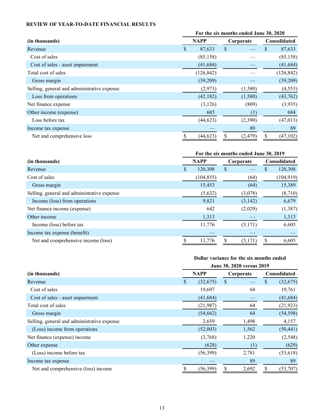# <span id="page-12-0"></span>**REVIEW OF YEAR-TO-DATE FINANCIAL RESULTS**

|                                             | For the six months ended June 30, 2020 |             |               |           |   |              |  |
|---------------------------------------------|----------------------------------------|-------------|---------------|-----------|---|--------------|--|
| (in thousands)                              |                                        | <b>NAPP</b> |               | Corporate |   | Consolidated |  |
| Revenue                                     | \$.                                    | 87,633      | $\mathbf{\$}$ |           | S | 87,633       |  |
| Cost of sales                               |                                        | (85, 158)   |               |           |   | (85, 158)    |  |
| Cost of sales - asset impairment            |                                        | (41, 684)   |               |           |   | (41, 684)    |  |
| Total cost of sales                         |                                        | (126, 842)  |               |           |   | (126, 842)   |  |
| Gross margin                                |                                        | (39,209)    |               |           |   | (39,209)     |  |
| Selling, general and administrative expense |                                        | (2,973)     |               | (1,580)   |   | (4, 553)     |  |
| Loss from operations                        |                                        | (42, 182)   |               | (1,580)   |   | (43,762)     |  |
| Net finance expense                         |                                        | (3,126)     |               | (809)     |   | (3,935)      |  |
| Other income (expense)                      |                                        | 685         |               | (1)       |   | 684          |  |
| Loss before tax                             |                                        | (44, 623)   |               | (2,390)   |   | (47, 013)    |  |
| Income tax expense                          |                                        |             |               | 89        |   | 89           |  |
| Net and comprehensive loss                  |                                        | (44, 623)   |               | (2, 479)  |   | (47, 102)    |  |

# **For the six months ended June 30, 2019**

| (in thousands)                              | <b>NAPP</b> |            | Corporate |         | <b>Consolidated</b> |            |
|---------------------------------------------|-------------|------------|-----------|---------|---------------------|------------|
| Revenue                                     | S           | 120,308    | \$        |         | S                   | 120,308    |
| Cost of sales                               |             | (104, 855) |           | (64)    |                     | (104, 919) |
| Gross margin                                |             | 15,453     |           | (64)    |                     | 15,389     |
| Selling, general and administrative expense |             | (5,632)    |           | (3,078) |                     | (8,710)    |
| Income (loss) from operations               |             | 9,821      |           | (3,142) |                     | 6,679      |
| Net finance income (expense)                |             | 642        |           | (2,029) |                     | (1,387)    |
| Other income                                |             | 1,313      |           |         |                     | 1,313      |
| Income (loss) before tax                    |             | 11,776     |           | (5,171) |                     | 6,605      |
| Income tax expense (benefit)                |             |            |           |         |                     |            |
| Net and comprehensive income (loss)         |             | 11,776     |           | (5,171) |                     | 6,605      |

# **Dollar variance for the six months ended**

|                                             | June 30, 2020 versus 2019 |             |    |           |    |                     |
|---------------------------------------------|---------------------------|-------------|----|-----------|----|---------------------|
| (in thousands)                              |                           | <b>NAPP</b> |    | Corporate |    | <b>Consolidated</b> |
| Revenue                                     | \$                        | (32,675)    | \$ |           | \$ | (32, 675)           |
| Cost of sales                               |                           | 19,697      |    | 64        |    | 19,761              |
| Cost of sales - asset impairment            |                           | (41, 684)   |    |           |    | (41, 684)           |
| Total cost of sales                         |                           | (21,987)    |    | 64        |    | (21, 923)           |
| Gross margin                                |                           | (54, 662)   |    | 64        |    | (54, 598)           |
| Selling, general and administrative expense |                           | 2,659       |    | 1,498     |    | 4,157               |
| (Loss) income from operations               |                           | (52,003)    |    | 1,562     |    | (50, 441)           |
| Net finance (expense) income                |                           | (3,768)     |    | 1,220     |    | (2, 548)            |
| Other expense                               |                           | (628)       |    | (1)       |    | (629)               |
| (Loss) income before tax                    |                           | (56,399)    |    | 2,781     |    | (53, 618)           |
| Income tax expense                          |                           |             |    | 89        |    | 89                  |
| Net and comprehensive (loss) income         | \$                        | (56, 399)   | \$ | 2,692     | \$ | (53,707)            |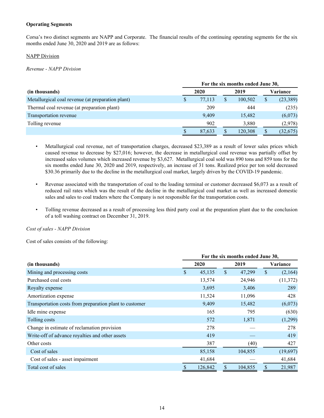## **Operating Segments**

Corsa's two distinct segments are NAPP and Corporate. The financial results of the continuing operating segments for the six months ended June 30, 2020 and 2019 are as follows:

#### **NAPP Division**

*Revenue - NAPP Division*

|                                                   |   | For the six months ended June 30, |  |         |    |           |  |  |  |
|---------------------------------------------------|---|-----------------------------------|--|---------|----|-----------|--|--|--|
| (in thousands)                                    |   | 2020                              |  | 2019    |    | Variance  |  |  |  |
| Metallurgical coal revenue (at preparation plant) | S | 77.113                            |  | 100,502 | \$ | (23, 389) |  |  |  |
| Thermal coal revenue (at preparation plant)       |   | 209                               |  | 444     |    | (235)     |  |  |  |
| Transportation revenue                            |   | 9,409                             |  | 15,482  |    | (6,073)   |  |  |  |
| Tolling revenue                                   |   | 902                               |  | 3,880   |    | (2,978)   |  |  |  |
|                                                   |   | 87,633                            |  | 120,308 |    | (32, 675) |  |  |  |

- Metallurgical coal revenue, net of transportation charges, decreased \$23,389 as a result of lower sales prices which caused revenue to decrease by \$27,016; however, the decrease in metallurgical coal revenue was partially offset by increased sales volumes which increased revenue by \$3,627. Metallurgical coal sold was 890 tons and 859 tons for the six months ended June 30, 2020 and 2019, respectively, an increase of 31 tons. Realized price per ton sold decreased \$30.36 primarily due to the decline in the metallurgical coal market, largely driven by the COVID-19 pandemic.
- Revenue associated with the transportation of coal to the loading terminal or customer decreased \$6,073 as a result of reduced rail rates which was the result of the decline in the metallurgical coal market as well as increased domestic sales and sales to coal traders where the Company is not responsible for the transportation costs.
- Tolling revenue decreased as a result of processing less third party coal at the preparation plant due to the conclusion of a toll washing contract on December 31, 2019.

*Cost of sales - NAPP Division*

Cost of sales consists of the following:

|                                                         | For the six months ended June 30, |    |         |    |           |  |  |
|---------------------------------------------------------|-----------------------------------|----|---------|----|-----------|--|--|
| (in thousands)                                          | 2020                              |    | 2019    |    | Variance  |  |  |
| Mining and processing costs                             | \$<br>45,135                      | \$ | 47,299  | \$ | (2,164)   |  |  |
| Purchased coal costs                                    | 13,574                            |    | 24,946  |    | (11, 372) |  |  |
| Royalty expense                                         | 3,695                             |    | 3,406   |    | 289       |  |  |
| Amortization expense                                    | 11,524                            |    | 11,096  |    | 428       |  |  |
| Transportation costs from preparation plant to customer | 9,409                             |    | 15,482  |    | (6,073)   |  |  |
| Idle mine expense                                       | 165                               |    | 795     |    | (630)     |  |  |
| Tolling costs                                           | 572                               |    | 1,871   |    | (1,299)   |  |  |
| Change in estimate of reclamation provision             | 278                               |    |         |    | 278       |  |  |
| Write-off of advance royalties and other assets         | 419                               |    |         |    | 419       |  |  |
| Other costs                                             | 387                               |    | (40)    |    | 427       |  |  |
| Cost of sales                                           | 85,158                            |    | 104,855 |    | (19,697)  |  |  |
| Cost of sales - asset impairment                        | 41,684                            |    |         |    | 41,684    |  |  |
| Total cost of sales                                     | 126,842                           |    | 104,855 | \$ | 21,987    |  |  |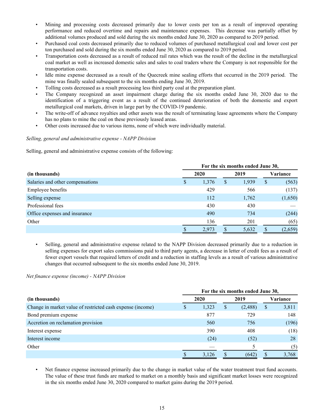- Mining and processing costs decreased primarily due to lower costs per ton as a result of improved operating performance and reduced overtime and repairs and maintenance expenses. This decrease was partially offset by additional volumes produced and sold during the six months ended June 30, 2020 as compared to 2019 period.
- Purchased coal costs decreased primarily due to reduced volumes of purchased metallurgical coal and lower cost per ton purchased and sold during the six months ended June 30, 2020 as compared to 2019 period.
- Transportation costs decreased as a result of reduced rail rates which was the result of the decline in the metallurgical coal market as well as increased domestic sales and sales to coal traders where the Company is not responsible for the transportation costs.
- Idle mine expense decreased as a result of the Quecreek mine sealing efforts that occurred in the 2019 period. The mine was finally sealed subsequent to the six months ending June 30, 2019.
- Tolling costs decreased as a result processing less third party coal at the preparation plant.
- The Company recognized an asset impairment charge during the six months ended June 30, 2020 due to the identification of a triggering event as a result of the continued deterioration of both the domestic and export metallurgical coal markets, driven in large part by the COVID-19 pandemic.
- The write-off of advance royalties and other assets was the result of terminating lease agreements where the Company has no plans to mine the coal on these previously leased areas.
- Other costs increased due to various items, none of which were individually material.

# *Selling, general and administrative expense - NAPP Division*

Selling, general and administrative expense consists of the following:

|                                  | For the six months ended June 30, |   |       |     |          |  |  |  |
|----------------------------------|-----------------------------------|---|-------|-----|----------|--|--|--|
| (in thousands)                   | 2020                              |   | 2019  |     | Variance |  |  |  |
| Salaries and other compensations | \$<br>1,376                       | S | 1,939 | \$  | (563)    |  |  |  |
| Employee benefits                | 429                               |   | 566   |     | (137)    |  |  |  |
| Selling expense                  | 112                               |   | 1,762 |     | (1,650)  |  |  |  |
| Professional fees                | 430                               |   | 430   |     |          |  |  |  |
| Office expenses and insurance    | 490                               |   | 734   |     | (244)    |  |  |  |
| Other                            | 136                               |   | 201   |     | (65)     |  |  |  |
|                                  | 2,973                             |   | 5,632 | \$. | (2,659)  |  |  |  |

• Selling, general and administrative expense related to the NAPP Division decreased primarily due to a reduction in selling expenses for export sales commissions paid to third party agents, a decrease in letter of credit fees as a result of fewer export vessels that required letters of credit and a reduction in staffing levels as a result of various administrative changes that occurred subsequent to the six months ended June 30, 2019.

*Net finance expense (income) - NAPP Division*

|                                                            | For the six months ended June 30, |       |      |         |          |       |  |  |
|------------------------------------------------------------|-----------------------------------|-------|------|---------|----------|-------|--|--|
| (in thousands)                                             | 2020                              |       | 2019 |         | Variance |       |  |  |
| Change in market value of restricted cash expense (income) |                                   | 1,323 | S    | (2,488) | \$       | 3,811 |  |  |
| Bond premium expense                                       |                                   | 877   |      | 729     |          | 148   |  |  |
| Accretion on reclamation provision                         |                                   | 560   |      | 756     |          | (196) |  |  |
| Interest expense                                           |                                   | 390   |      | 408     |          | (18)  |  |  |
| Interest income                                            |                                   | (24)  |      | (52)    |          | 28    |  |  |
| Other                                                      |                                   |       |      |         |          | (5)   |  |  |
|                                                            |                                   | 3,126 |      | (642)   |          | 3,768 |  |  |

• Net finance expense increased primarily due to the change in market value of the water treatment trust fund accounts. The value of these trust funds are marked to market on a monthly basis and significant market losses were recognized in the six months ended June 30, 2020 compared to market gains during the 2019 period.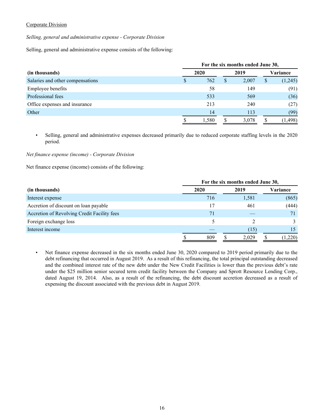## Corporate Division

*Selling, general and administrative expense - Corporate Division*

Selling, general and administrative expense consists of the following:

|                                  |   | For the six months ended June 30, |              |       |    |          |  |  |  |
|----------------------------------|---|-----------------------------------|--------------|-------|----|----------|--|--|--|
| (in thousands)                   |   | 2020                              |              | 2019  |    | Variance |  |  |  |
| Salaries and other compensations | S | 762                               | <sup>S</sup> | 2,007 | \$ | (1,245)  |  |  |  |
| <b>Employee benefits</b>         |   | 58                                |              | 149   |    | (91)     |  |  |  |
| Professional fees                |   | 533                               |              | 569   |    | (36)     |  |  |  |
| Office expenses and insurance    |   | 213                               |              | 240   |    | (27)     |  |  |  |
| Other                            |   | 14                                |              | 113   |    | (99)     |  |  |  |
|                                  |   | 1,580                             |              | 3,078 |    | (1, 498) |  |  |  |

• Selling, general and administrative expenses decreased primarily due to reduced corporate staffing levels in the 2020 period.

## *Net finance expense (income) - Corporate Division*

Net finance expense (income) consists of the following:

|                                             | For the six months ended June 30, |  |       |  |          |  |  |  |
|---------------------------------------------|-----------------------------------|--|-------|--|----------|--|--|--|
| (in thousands)                              | 2020                              |  | 2019  |  | Variance |  |  |  |
| Interest expense                            | 716                               |  | 1,581 |  | (865)    |  |  |  |
| Accretion of discount on loan payable       | 17                                |  | 461   |  | (444)    |  |  |  |
| Accretion of Revolving Credit Facility fees | 71                                |  |       |  |          |  |  |  |
| Foreign exchange loss                       |                                   |  |       |  |          |  |  |  |
| Interest income                             |                                   |  | (15)  |  |          |  |  |  |
|                                             | 809                               |  | 2,029 |  | (1,220)  |  |  |  |

• Net finance expense decreased in the six months ended June 30, 2020 compared to 2019 period primarily due to the debt refinancing that occurred in August 2019. As a result of this refinancing, the total principal outstanding decreased and the combined interest rate of the new debt under the New Credit Facilities is lower than the previous debt's rate under the \$25 million senior secured term credit facility between the Company and Sprott Resource Lending Corp., dated August 19, 2014. Also, as a result of the refinancing, the debt discount accretion decreased as a result of expensing the discount associated with the previous debt in August 2019.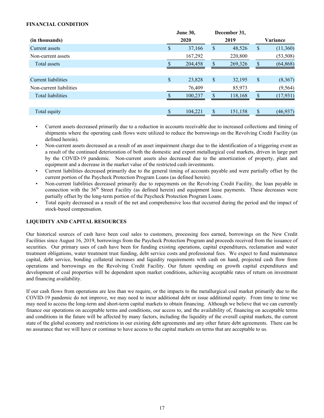# <span id="page-16-0"></span>**FINANCIAL CONDITION**

|                          | June 30, |         |               | December 31, |                 |  |
|--------------------------|----------|---------|---------------|--------------|-----------------|--|
| (in thousands)           | 2020     |         | 2019          |              | Variance        |  |
| Current assets           | \$       | 37,166  | \$            | 48,526       | \$<br>(11,360)  |  |
| Non-current assets       |          | 167,292 |               | 220,800      | (53, 508)       |  |
| Total assets             |          | 204,458 |               | 269,326      | \$<br>(64, 868) |  |
|                          |          |         |               |              |                 |  |
| Current liabilities      | \$       | 23,828  | $\mathsf{\$}$ | 32,195       | \$<br>(8,367)   |  |
| Non-current liabilities  |          | 76,409  |               | 85,973       | (9, 564)        |  |
| <b>Total liabilities</b> |          | 100,237 | \$.           | 118,168      | \$<br>(17, 931) |  |
|                          |          |         |               |              |                 |  |
| Total equity             |          | 104,221 | \$            | 151,158      | \$<br>(46, 937) |  |

- Current assets decreased primarily due to a reduction in accounts receivable due to increased collections and timing of shipments where the operating cash flows were utilized to reduce the borrowings on the Revolving Credit Facility (as defined herein).
- Non-current assets decreased as a result of an asset impairment charge due to the identification of a triggering event as a result of the continued deterioration of both the domestic and export metallurgical coal markets, driven in large part by the COVID-19 pandemic. Non-current assets also decreased due to the amortization of property, plant and equipment and a decrease in the market value of the restricted cash investments.
- Current liabilities decreased primarily due to the general timing of accounts payable and were partially offset by the current portion of the Paycheck Protection Program Loans (as defined herein).
- Non-current liabilities decreased primarily due to repayments on the Revolving Credit Facility, the loan payable in connection with the 36<sup>th</sup> Street Facility (as defined herein) and equipment lease payments. These decreases were partially offset by the long-term portion of the Paycheck Protection Program Loans.
- Total equity decreased as a result of the net and comprehensive loss that occurred during the period and the impact of stock-based compensation.

## **LIQUIDITY AND CAPITAL RESOURCES**

Our historical sources of cash have been coal sales to customers, processing fees earned, borrowings on the New Credit Facilities since August 16, 2019, borrowings from the Paycheck Protection Program and proceeds received from the issuance of securities. Our primary uses of cash have been for funding existing operations, capital expenditures, reclamation and water treatment obligations, water treatment trust funding, debt service costs and professional fees. We expect to fund maintenance capital, debt service, bonding collateral increases and liquidity requirements with cash on hand, projected cash flow from operations and borrowings on the Revolving Credit Facility. Our future spending on growth capital expenditures and development of coal properties will be dependent upon market conditions, achieving acceptable rates of return on investment and financing availability.

If our cash flows from operations are less than we require, or the impacts to the metallurgical coal market primarily due to the COVID-19 pandemic do not improve, we may need to incur additional debt or issue additional equity. From time to time we may need to access the long-term and short-term capital markets to obtain financing. Although we believe that we can currently finance our operations on acceptable terms and conditions, our access to, and the availability of, financing on acceptable terms and conditions in the future will be affected by many factors, including the liquidity of the overall capital markets, the current state of the global economy and restrictions in our existing debt agreements and any other future debt agreements. There can be no assurance that we will have or continue to have access to the capital markets on terms that are acceptable to us.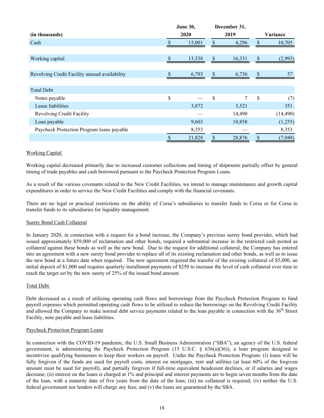|                                               |              | June 30,     |                    | December 31, |               |
|-----------------------------------------------|--------------|--------------|--------------------|--------------|---------------|
| (in thousands)                                |              | 2020         |                    | 2019         | Variance      |
| Cash                                          |              | \$<br>15,001 |                    | 4,296        | \$<br>10,705  |
|                                               |              |              |                    |              |               |
| Working capital                               | $\mathbb{S}$ | 13,338       | $\$$               | 16,331       | \$<br>(2,993) |
|                                               |              |              |                    |              |               |
| Revolving Credit Facility unused availability | S.           | 6,793        | \$                 | 6,736        | \$<br>57      |
|                                               |              |              |                    |              |               |
| <b>Total Debt</b>                             |              |              |                    |              |               |
| Notes payable                                 | \$           |              | \$                 | 7            | \$<br>(7)     |
| Lease liabilities                             |              | 3,872        |                    | 3,521        | 351           |
| Revolving Credit Facility                     |              |              |                    | 14,490       | (14, 490)     |
| Loan payable                                  |              | 9,603        |                    | 10,858       | (1,255)       |
| Paycheck Protection Program loans payable     |              | 8,353        |                    |              | 8,353         |
|                                               | \$           | 21,828       | $\mathbf{\hat{S}}$ | 28,876       | \$<br>(7,048) |

# Working Capital

Working capital decreased primarily due to increased customer collections and timing of shipments partially offset by general timing of trade payables and cash borrowed pursuant to the Paycheck Protection Program Loans.

As a result of the various covenants related to the New Credit Facilities, we intend to manage maintenance and growth capital expenditures in order to service the New Credit Facilities and comply with the financial covenants.

There are no legal or practical restrictions on the ability of Corsa's subsidiaries to transfer funds to Corsa or for Corsa to transfer funds to its subsidiaries for liquidity management.

## Surety Bond Cash Collateral

In January 2020, in connection with a request for a bond increase, the Company's previous surety bond provider, which had issued approximately \$59,000 of reclamation and other bonds, required a substantial increase in the restricted cash posted as collateral against these bonds as well as the new bond. Due to the request for additional collateral, the Company has entered into an agreement with a new surety bond provider to replace all of its existing reclamation and other bonds, as well as to issue the new bond at a future date when required. The new agreement required the transfer of the existing collateral of \$5,000, an initial deposit of \$1,000 and requires quarterly installment payments of \$250 to increase the level of cash collateral over time to reach the target set by the new surety of 25% of the issued bond amount.

## Total Debt

Debt decreased as a result of utilizing operating cash flows and borrowings from the Paycheck Protection Program to fund payroll expenses which permitted operating cash flows to be utilized to reduce the borrowings on the Revolving Credit Facility and allowed the Company to make normal debt service payments related to the loan payable in connection with the 36<sup>th</sup> Street Facility, note payable and lease liabilities.

#### Paycheck Protection Program Loans

In connection with the COVID-19 pandemic, the U.S. Small Business Administration ("SBA"), an agency of the U.S. federal government, is administering the Paycheck Protection Program (15 U.S.C. § 636(a)(36)), a loan program designed to incentivize qualifying businesses to keep their workers on payroll. Under the Paycheck Protection Program: (i) loans will be fully forgiven if the funds are used for payroll costs, interest on mortgages, rent and utilities (at least 60% of the forgiven amount must be used for payroll), and partially forgiven if full-time equivalent headcount declines, or if salaries and wages decrease; (ii) interest on the loans is charged at 1% and principal and interest payments are to begin seven months from the date of the loan, with a maturity date of five years from the date of the loan; (iii) no collateral is required; (iv) neither the U.S. federal government nor lenders will charge any fees; and (v) the loans are guaranteed by the SBA.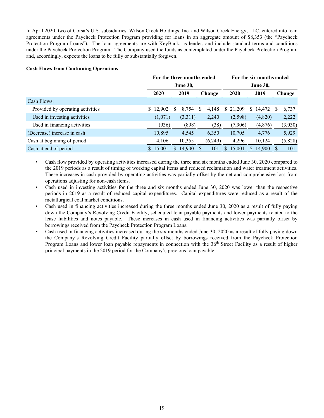In April 2020, two of Corsa's U.S. subsidiaries, Wilson Creek Holdings, Inc. and Wilson Creek Energy, LLC, entered into loan agreements under the Paycheck Protection Program providing for loans in an aggregate amount of \$8,353 (the "Paycheck Protection Program Loans"). The loan agreements are with KeyBank, as lender, and include standard terms and conditions under the Paycheck Protection Program. The Company used the funds as contemplated under the Paycheck Protection Program and, accordingly, expects the loans to be fully or substantially forgiven.

## **Cash Flows from Continuing Operations**

|                                  |                        |         |    | For the three months ended |  |         |      | For the six months ended |    |                 |        |         |  |  |  |  |
|----------------------------------|------------------------|---------|----|----------------------------|--|---------|------|--------------------------|----|-----------------|--------|---------|--|--|--|--|
|                                  |                        |         |    | <b>June 30,</b>            |  |         |      |                          |    | <b>June 30,</b> |        |         |  |  |  |  |
|                                  | 2020<br>2019<br>Change |         |    |                            |  |         | 2020 | 2019                     |    |                 | Change |         |  |  |  |  |
| Cash Flows:                      |                        |         |    |                            |  |         |      |                          |    |                 |        |         |  |  |  |  |
| Provided by operating activities | \$12,902               |         | S  | 8,754                      |  | 4,148   |      | \$21,209                 | S. | 14,472          |        | 6,737   |  |  |  |  |
| Used in investing activities     |                        | (1,071) |    | (3,311)                    |  | 2,240   |      | (2,598)                  |    | (4,820)         |        | 2,222   |  |  |  |  |
| Used in financing activities     |                        | (936)   |    | (898)                      |  | (38)    |      | (7,906)                  |    | (4,876)         |        | (3,030) |  |  |  |  |
| (Decrease) increase in cash      | 10,895                 |         |    | 4,545                      |  | 6,350   |      | 10,705                   |    | 4,776           |        | 5,929   |  |  |  |  |
| Cash at beginning of period      |                        | 4,106   |    | 10,355                     |  | (6,249) |      | 4,296                    |    | 10,124          |        | (5,828) |  |  |  |  |
| Cash at end of period            | 15,001                 |         | S. | 14,900                     |  | 101     | S.   | 15,001                   |    | 14,900          |        | 101     |  |  |  |  |

• Cash flow provided by operating activities increased during the three and six months ended June 30, 2020 compared to the 2019 periods as a result of timing of working capital items and reduced reclamation and water treatment activities. These increases in cash provided by operating activities was partially offset by the net and comprehensive loss from operations adjusting for non-cash items.

- Cash used in investing activities for the three and six months ended June 30, 2020 was lower than the respective periods in 2019 as a result of reduced capital expenditures. Capital expenditures were reduced as a result of the metallurgical coal market conditions.
- Cash used in financing activities increased during the three months ended June 30, 2020 as a result of fully paying down the Company's Revolving Credit Facility, scheduled loan payable payments and lower payments related to the lease liabilities and notes payable. These increases in cash used in financing activities was partially offset by borrowings received from the Paycheck Protection Program Loans.
- Cash used in financing activities increased during the six months ended June 30, 2020 as a result of fully paying down the Company's Revolving Credit Facility partially offset by borrowings received from the Paycheck Protection Program Loans and lower loan payable repayments in connection with the  $36<sup>th</sup>$  Street Facility as a result of higher principal payments in the 2019 period for the Company's previous loan payable.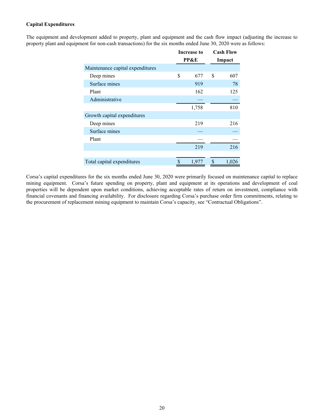## **Capital Expenditures**

The equipment and development added to property, plant and equipment and the cash flow impact (adjusting the increase to property plant and equipment for non-cash transactions) for the six months ended June 30, 2020 were as follows:

|                                  | Increase to     | <b>Cash Flow</b> |
|----------------------------------|-----------------|------------------|
|                                  | <b>PP&amp;E</b> | Impact           |
| Maintenance capital expenditures |                 |                  |
| Deep mines                       | \$<br>677       | \$<br>607        |
| Surface mines                    | 919             | 78               |
| Plant                            | 162             | 125              |
| Administrative                   |                 |                  |
|                                  | 1,758           | 810              |
| Growth capital expenditures      |                 |                  |
| Deep mines                       | 219             | 216              |
| Surface mines                    |                 |                  |
| Plant                            |                 |                  |
|                                  | 219             | 216              |
|                                  |                 |                  |
| Total capital expenditures       | \$<br>1,977     | \$<br>1,026      |

Corsa's capital expenditures for the six months ended June 30, 2020 were primarily focused on maintenance capital to replace mining equipment. Corsa's future spending on property, plant and equipment at its operations and development of coal properties will be dependent upon market conditions, achieving acceptable rates of return on investment, compliance with financial covenants and financing availability. For disclosure regarding Corsa's purchase order firm commitments, relating to the procurement of replacement mining equipment to maintain Corsa's capacity, see "Contractual Obligations".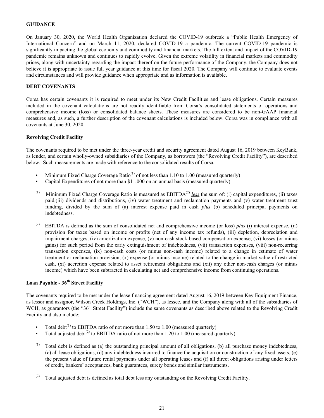## <span id="page-20-0"></span>**GUIDANCE**

On January 30, 2020, the World Health Organization declared the COVID-19 outbreak a "Public Health Emergency of International Concern" and on March 11, 2020, declared COVID-19 a pandemic. The current COVID-19 pandemic is significantly impacting the global economy and commodity and financial markets. The full extent and impact of the COVID-19 pandemic remains unknown and continues to rapidly evolve. Given the extreme volatility in financial markets and commodity prices, along with uncertainty regarding the impact thereof on the future performance of the Company, the Company does not believe it is appropriate to issue full year guidance at this time for fiscal 2020. The Company will continue to evaluate events and circumstances and will provide guidance when appropriate and as information is available.

#### **DEBT COVENANTS**

Corsa has certain covenants it is required to meet under its New Credit Facilities and lease obligations. Certain measures included in the covenant calculations are not readily identifiable from Corsa's consolidated statements of operations and comprehensive income (loss) or consolidated balance sheets. These measures are considered to be non-GAAP financial measures and, as such, a further description of the covenant calculations is included below. Corsa was in compliance with all covenants at June 30, 2020.

#### **Revolving Credit Facility**

The covenants required to be met under the three-year credit and security agreement dated August 16, 2019 between KeyBank, as lender, and certain wholly-owned subsidiaries of the Company, as borrowers (the "Revolving Credit Facility"), are described below. Such measurements are made with reference to the consolidated results of Corsa.

- Minimum Fixed Charge Coverage Ratio<sup>(1)</sup> of not less than 1.10 to 1.00 (measured quarterly)
- Capital Expenditures of not more than \$11,000 on an annual basis (measured quarterly)
- (1) Minimum Fixed Charge Coverage Ratio is measured as  $EBITDA<sup>(2)</sup>$  *less* the sum of: (i) capital expenditures, (ii) taxes paid,(iii) dividends and distributions, (iv) water treatment and reclamation payments and (v) water treatment trust funding, divided by the sum of (a) interest expense paid in cash *plus* (b) scheduled principal payments on indebtedness.
- (2) EBITDA is defined as the sum of consolidated net and comprehensive income (or loss)  $plus$  (i) interest expense, (ii) provision for taxes based on income or profits (net of any income tax refunds), (iii) depletion, depreciation and impairment charges, (iv) amortization expense, (v) non-cash stock-based compensation expense, (vi) losses (or minus gains) for such period from the early extinguishment of indebtedness, (vii) transaction expenses, (viii) non-recurring transaction expenses, (ix) non-cash costs (or minus non-cash income) related to a change in estimate of water treatment or reclamation provision, (x) expense (or minus income) related to the change in market value of restricted cash, (xi) accretion expense related to asset retirement obligations and (xii) any other non-cash charges (or minus income) which have been subtracted in calculating net and comprehensive income from continuing operations.

# **Loan Payable - 36th Street Facility**

The covenants required to be met under the lease financing agreement dated August 16, 2019 between Key Equipment Finance, as lessor and assignor, Wilson Creek Holdings, Inc. ("WCH"), as lessee, and the Company along with all of the subsidiaries of WCH, as guarantors (the " $36<sup>th</sup>$  Street Facility") include the same covenants as described above related to the Revolving Credit Facility and also include:

- Total debt<sup>(1)</sup> to EBITDA ratio of not more than 1.50 to 1.00 (measured quarterly)
- Total adjusted debt<sup>(2)</sup> to EBITDA ratio of not more than 1.20 to 1.00 (measured quarterly)
- $(1)$  Total debt is defined as (a) the outstanding principal amount of all obligations, (b) all purchase money indebtedness, (c) all lease obligations, (d) any indebtedness incurred to finance the acquisition or construction of any fixed assets, (e) the present value of future rental payments under all operating leases and (f) all direct obligations arising under letters of credit, bankers' acceptances, bank guarantees, surety bonds and similar instruments.
- (2) Total adjusted debt is defined as total debt less any outstanding on the Revolving Credit Facility.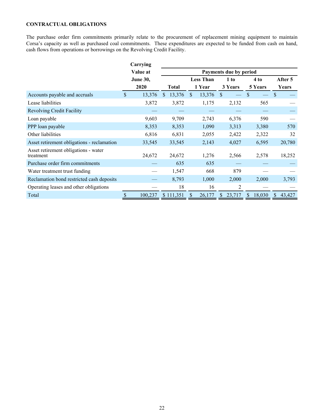# <span id="page-21-0"></span>**CONTRACTUAL OBLIGATIONS**

The purchase order firm commitments primarily relate to the procurement of replacement mining equipment to maintain Corsa's capacity as well as purchased coal commitments. These expenditures are expected to be funded from cash on hand, cash flows from operations or borrowings on the Revolving Credit Facility.

|                                                   | Carrying        |              |              |     |                  |               |                        |              |         |               |         |
|---------------------------------------------------|-----------------|--------------|--------------|-----|------------------|---------------|------------------------|--------------|---------|---------------|---------|
|                                                   | Value at        |              |              |     |                  |               | Payments due by period |              |         |               |         |
|                                                   | <b>June 30,</b> |              |              |     | <b>Less Than</b> |               | 1 to                   |              | 4 to    |               | After 5 |
|                                                   | 2020            |              | <b>Total</b> |     | 1 Year           | 3 Years       |                        |              | 5 Years |               | Years   |
| Accounts payable and accruals                     | \$<br>13,376    | <sup>S</sup> | 13,376       | \$. | 13,376           | <sup>\$</sup> |                        | S            |         | $\mathcal{S}$ |         |
| Lease liabilities                                 | 3,872           |              | 3,872        |     | 1,175            |               | 2,132                  |              | 565     |               |         |
| <b>Revolving Credit Facility</b>                  |                 |              |              |     |                  |               |                        |              |         |               |         |
| Loan payable                                      | 9,603           |              | 9,709        |     | 2,743            |               | 6,376                  |              | 590     |               |         |
| PPP loan payable                                  | 8,353           |              | 8,353        |     | 1,090            |               | 3,313                  |              | 3,380   |               | 570     |
| Other liabilities                                 | 6,816           |              | 6,831        |     | 2,055            |               | 2,422                  |              | 2,322   |               | 32      |
| Asset retirement obligations - reclamation        | 33,545          |              | 33,545       |     | 2,143            |               | 4,027                  |              | 6,595   |               | 20,780  |
| Asset retirement obligations - water<br>treatment | 24,672          |              | 24,672       |     | 1,276            |               | 2,566                  |              | 2,578   |               | 18,252  |
| Purchase order firm commitments                   |                 |              | 635          |     | 635              |               |                        |              |         |               |         |
| Water treatment trust funding                     |                 |              | 1,547        |     | 668              |               | 879                    |              |         |               |         |
| Reclamation bond restricted cash deposits         |                 |              | 8,793        |     | 1,000            |               | 2,000                  |              | 2,000   |               | 3,793   |
| Operating leases and other obligations            |                 |              | 18           |     | 16               |               | 2                      |              |         |               |         |
| Total                                             | \$<br>100,237   |              | \$111,351    |     | 26,177           | <sup>S</sup>  | 23,717                 | <sup>S</sup> | 18,030  | <sup>S</sup>  | 43,427  |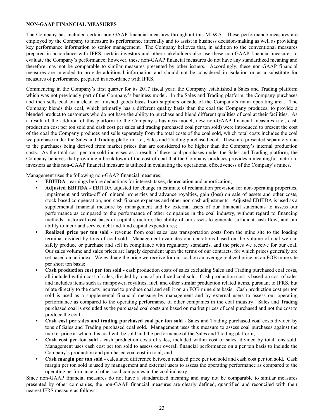# <span id="page-22-0"></span>**NON-GAAP FINANCIAL MEASURES**

The Company has included certain non-GAAP financial measures throughout this MD&A. These performance measures are employed by the Company to measure its performance internally and to assist in business decision-making as well as providing key performance information to senior management. The Company believes that, in addition to the conventional measures prepared in accordance with IFRS, certain investors and other stakeholders also use these non-GAAP financial measures to evaluate the Company's performance; however, these non-GAAP financial measures do not have any standardized meaning and therefore may not be comparable to similar measures presented by other issuers. Accordingly, these non-GAAP financial measures are intended to provide additional information and should not be considered in isolation or as a substitute for measures of performance prepared in accordance with IFRS.

Commencing in the Company's first quarter for its 2017 fiscal year, the Company established a Sales and Trading platform which was not previously part of the Company's business model. In the Sales and Trading platform, the Company purchases and then sells coal on a clean or finished goods basis from suppliers outside of the Company's main operating area. The Company blends this coal, which primarily has a different quality basis than the coal the Company produces, to provide a blended product to customers who do not have the ability to purchase and blend different qualities of coal at their facilities. As a result of the addition of this platform to the Company's business model, new non-GAAP financial measures (i.e., cash production cost per ton sold and cash cost per sales and trading purchased coal per ton sold) were introduced to present the cost of the coal the Company produces and sells separately from the total costs of the coal sold, which total costs includes the coal we purchase under the Sales and Trading platform, i.e., Sales and Trading purchased coal. These are presented separately due to the purchases being derived from market prices that are considered to be higher than the Company's internal production costs. As the total cost per ton sold increases as a result of these coal purchases under the Sales and Trading platform, the Company believes that providing a breakdown of the cost of coal that the Company produces provides a meaningful metric to investors as this non-GAAP financial measure is utilized in evaluating the operational effectiveness of the Company's mines.

Management uses the following non-GAAP financial measures:

- **EBITDA** earnings before deductions for interest, taxes, depreciation and amortization;
- **• Adjusted EBITDA** EBITDA adjusted for change in estimate of reclamation provision for non-operating properties, impairment and write-off of mineral properties and advance royalties, gain (loss) on sale of assets and other costs, stock-based compensation, non-cash finance expenses and other non-cash adjustments. Adjusted EBITDA is used as a supplemental financial measure by management and by external users of our financial statements to assess our performance as compared to the performance of other companies in the coal industry, without regard to financing methods, historical cost basis or capital structure; the ability of our assets to generate sufficient cash flow; and our ability to incur and service debt and fund capital expenditures;
- **Realized price per ton sold** revenue from coal sales less transportation costs from the mine site to the loading terminal divided by tons of coal sold. Management evaluates our operations based on the volume of coal we can safely produce or purchase and sell in compliance with regulatory standards, and the prices we receive for our coal. Our sales volume and sales prices are largely dependent upon the terms of our contracts, for which prices generally are set based on an index. We evaluate the price we receive for our coal on an average realized price on an FOB mine site per short ton basis;
- **• Cash production cost per ton sold** cash production costs of sales excluding Sales and Trading purchased coal costs, all included within cost of sales, divided by tons of produced coal sold. Cash production cost is based on cost of sales and includes items such as manpower, royalties, fuel, and other similar production related items, pursuant to IFRS, but relate directly to the costs incurred to produce coal and sell it on an FOB mine site basis. Cash production cost per ton sold is used as a supplemental financial measure by management and by external users to assess our operating performance as compared to the operating performance of other companies in the coal industry. Sales and Trading purchased coal is excluded as the purchased coal costs are based on market prices of coal purchased and not the cost to produce the coal;
- **• Cash cost per sales and trading purchased coal per ton sold** Sales and Trading purchased coal costs divided by tons of Sales and Trading purchased coal sold. Management uses this measure to assess coal purchases against the market price at which this coal will be sold and the performance of the Sales and Trading platform;
- **• Cash cost per ton sold** cash production costs of sales, included within cost of sales, divided by total tons sold. Management uses cash cost per ton sold to assess our overall financial performance on a per ton basis to include the Company's production and purchased coal cost in total; and
- **• Cash margin per ton sold** calculated difference between realized price per ton sold and cash cost per ton sold. Cash margin per ton sold is used by management and external users to assess the operating performance as compared to the operating performance of other coal companies in the coal industry.

Since non-GAAP financial measures do not have a standardized meaning and may not be comparable to similar measures presented by other companies, the non-GAAP financial measures are clearly defined, quantified and reconciled with their nearest IFRS measure as follows: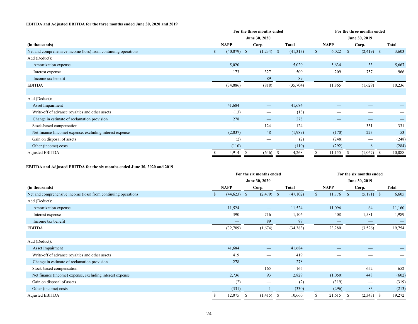#### **EBITDA and Adjusted EBITDA for the three months ended June 30, 2020 and 2019**

|                                                                |               | For the three months ended      |              | For the three months ended |                          |                              |                |  |  |  |  |
|----------------------------------------------------------------|---------------|---------------------------------|--------------|----------------------------|--------------------------|------------------------------|----------------|--|--|--|--|
|                                                                |               | June 30, 2020                   |              |                            |                          | June 30, 2019                |                |  |  |  |  |
| (in thousands)                                                 | <b>NAPP</b>   | Corp.                           | <b>Total</b> |                            | <b>NAPP</b>              | Corp.                        | <b>Total</b>   |  |  |  |  |
| Net and comprehensive income (loss) from continuing operations | $(40,079)$ \$ | $(1,234)$ \$                    | (41,313)     |                            | 6,022                    | $(2,419)$ \$<br>$\mathbb{S}$ | 3,603          |  |  |  |  |
| Add (Deduct):                                                  |               |                                 |              |                            |                          |                              |                |  |  |  |  |
| Amortization expense                                           | 5,020         | $\hspace{0.1mm}-\hspace{0.1mm}$ | 5,020        |                            | 5,634                    | 33                           | 5,667          |  |  |  |  |
| Interest expense                                               | 173           | 327                             | 500          |                            | 209                      | 757                          | 966            |  |  |  |  |
| Income tax benefit                                             |               | 89                              | 89           |                            | $\overline{\phantom{m}}$ |                              |                |  |  |  |  |
| <b>EBITDA</b>                                                  | (34,886)      | (818)                           | (35,704)     |                            | 11,865                   | (1,629)                      | 10,236         |  |  |  |  |
|                                                                |               |                                 |              |                            |                          |                              |                |  |  |  |  |
| Add (Deduct):                                                  |               |                                 |              |                            |                          |                              |                |  |  |  |  |
| Asset Impairment                                               | 41,684        | $\overline{\phantom{m}}$        | 41,684       |                            | –                        | –                            |                |  |  |  |  |
| Write-off of advance royalties and other assets                | (13)          |                                 | (13)         |                            | –                        | –                            |                |  |  |  |  |
| Change in estimate of reclamation provision                    | 278           |                                 | 278          |                            |                          | –                            |                |  |  |  |  |
| Stock-based compensation                                       |               | 124                             | 124          |                            |                          | 331                          | 331            |  |  |  |  |
| Net finance (income) expense, excluding interest expense       | (2,037)       | 48                              | (1,989)      |                            | (170)                    | 223                          | 53             |  |  |  |  |
| Gain on disposal of assets                                     | (2)           |                                 | (2)          |                            | (248)                    |                              | (248)          |  |  |  |  |
| Other (income) costs                                           | (110)         |                                 | (110)        |                            | (292)                    | 8                            | (284)          |  |  |  |  |
| <b>Adjusted EBITDA</b>                                         | 4,914<br>S    | (646)<br>S                      | 4,268<br>- S |                            | 11,155                   | (1,067)<br>-S                | 10,088<br>- \$ |  |  |  |  |

#### **EBITDA and Adjusted EBITDA for the six months ended June 30, 2020 and 2019**

|                                                                |             | For the six months ended |                          | For the six months ended |                              |              |  |  |  |  |  |
|----------------------------------------------------------------|-------------|--------------------------|--------------------------|--------------------------|------------------------------|--------------|--|--|--|--|--|
|                                                                |             | June 30, 2020            |                          |                          | June 30, 2019                |              |  |  |  |  |  |
| (in thousands)                                                 | <b>NAPP</b> | Corp.                    | <b>Total</b>             | <b>NAPP</b>              | Corp.                        | <b>Total</b> |  |  |  |  |  |
| Net and comprehensive income (loss) from continuing operations | (44, 623)   | (2, 479)<br>$\mathbb{S}$ | (47,102)<br>$\mathbf{s}$ | 11,776                   | <sup>S</sup><br>$(5,171)$ \$ | 6,605        |  |  |  |  |  |
| Add (Deduct):                                                  |             |                          |                          |                          |                              |              |  |  |  |  |  |
| Amortization expense                                           | 11,524      | $\overline{\phantom{m}}$ | 11,524                   | 11,096                   | 64                           | 11,160       |  |  |  |  |  |
| Interest expense                                               | 390         | 716                      | 1,106                    |                          | 408<br>1,581                 | 1,989        |  |  |  |  |  |
| Income tax benefit                                             |             | 89                       | 89                       |                          |                              |              |  |  |  |  |  |
| <b>EBITDA</b>                                                  | (32,709)    | (1,674)                  | (34, 383)                | 23,280                   | (3,526)                      | 19,754       |  |  |  |  |  |
|                                                                |             |                          |                          |                          |                              |              |  |  |  |  |  |
| Add (Deduct):                                                  |             |                          |                          |                          |                              |              |  |  |  |  |  |
| Asset Impairment                                               | 41,684      |                          | 41,684                   |                          | _                            |              |  |  |  |  |  |
| Write-off of advance royalties and other assets                | 419         | _                        | 419                      |                          | –                            |              |  |  |  |  |  |
| Change in estimate of reclamation provision                    | 278         |                          | 278                      |                          | –                            |              |  |  |  |  |  |
| Stock-based compensation                                       |             | 165                      | 165                      |                          | 652                          | 652          |  |  |  |  |  |
| Net finance (income) expense, excluding interest expense       | 2,736       | 93                       | 2,829                    | (1,050)                  | 448                          | (602)        |  |  |  |  |  |
| Gain on disposal of assets                                     | (2)         |                          | (2)                      |                          | (319)                        | (319)        |  |  |  |  |  |
| Other (income) costs                                           | (331)       |                          | (330)                    |                          | (296)<br>83                  | (213)        |  |  |  |  |  |
| <b>Adjusted EBITDA</b>                                         | 12,075      | (1, 415)                 | 10,660<br>- S            | 21,615                   | (2,343)                      | 19,272       |  |  |  |  |  |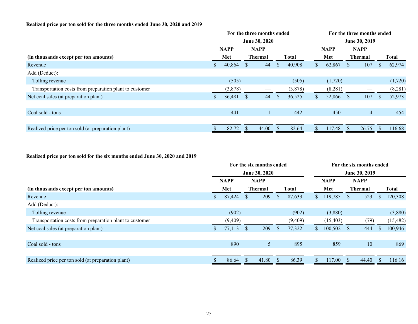# **Realized price per ton sold for the three months ended June 30, 2020 and 2019**

|                                                         |     |             |                | For the three months ended |              |             |     |         | For the three months ended |                   |              |         |  |  |  |  |
|---------------------------------------------------------|-----|-------------|----------------|----------------------------|--------------|-------------|-----|---------|----------------------------|-------------------|--------------|---------|--|--|--|--|
|                                                         |     |             |                | June 30, 2020              |              |             |     |         |                            | June 30, 2019     |              |         |  |  |  |  |
|                                                         |     | <b>NAPP</b> |                | <b>NAPP</b>                |              | <b>NAPP</b> |     |         | <b>NAPP</b>                |                   |              |         |  |  |  |  |
| (in thousands except per ton amounts)                   | Met |             | <b>Thermal</b> | <b>Total</b>               |              |             | Met |         | <b>Thermal</b>             |                   | <b>Total</b> |         |  |  |  |  |
| Revenue                                                 | S.  | 40,864      | <sup>S</sup>   | 44                         | <sup>S</sup> | 40,908      | S.  | 62,867  | <sup>S</sup>               | 107               | S            | 62,974  |  |  |  |  |
| Add (Deduct):                                           |     |             |                |                            |              |             |     |         |                            |                   |              |         |  |  |  |  |
| Tolling revenue                                         |     | (505)       |                |                            |              | (505)       |     | (1,720) |                            | $\hspace{0.05cm}$ |              | (1,720) |  |  |  |  |
| Transportation costs from preparation plant to customer |     | (3,878)     |                |                            |              | (3,878)     |     | (8,281) |                            |                   |              | (8,281) |  |  |  |  |
| Net coal sales (at preparation plant)                   |     | 36,481      | <sup>S</sup>   | 44                         | <sup>S</sup> | 36,525      | S.  | 52,866  | <sup>S</sup>               | 107               | <b>S</b>     | 52,973  |  |  |  |  |
|                                                         |     |             |                |                            |              |             |     |         |                            |                   |              |         |  |  |  |  |
| Coal sold - tons                                        |     | 441         |                |                            |              | 442         |     | 450     |                            | $\overline{4}$    |              | 454     |  |  |  |  |
|                                                         |     |             |                |                            |              |             |     |         |                            |                   |              |         |  |  |  |  |
| Realized price per ton sold (at preparation plant)      |     | 82.72       | <sup>\$</sup>  | 44.00                      |              | 82.64       |     | 117.48  | <sup>\$</sup>              | 26.75             |              | 116.68  |  |  |  |  |

# **Realized price per ton sold for the six months ended June 30, 2020 and 2019**

|                                                         |     |             |                | For the six months ended |              |         |                |             | For the six months ended |                   |          |              |  |  |  |
|---------------------------------------------------------|-----|-------------|----------------|--------------------------|--------------|---------|----------------|-------------|--------------------------|-------------------|----------|--------------|--|--|--|
|                                                         |     |             |                | June 30, 2020            |              |         |                |             |                          | June 30, 2019     |          |              |  |  |  |
|                                                         |     | <b>NAPP</b> |                | <b>NAPP</b>              |              |         |                | <b>NAPP</b> |                          | <b>NAPP</b>       |          |              |  |  |  |
| (in thousands except per ton amounts)                   | Met |             | <b>Thermal</b> |                          | <b>Total</b> |         |                | Met         | <b>Thermal</b>           |                   |          | <b>Total</b> |  |  |  |
| Revenue                                                 | S.  | 87,424      | <sup>S</sup>   | 209                      | <sup>S</sup> | 87,633  | $\mathbb{S}^-$ | 119,785     | <sup>S</sup>             | 523               | S        | 120,308      |  |  |  |
| Add (Deduct):                                           |     |             |                |                          |              |         |                |             |                          |                   |          |              |  |  |  |
| Tolling revenue                                         |     | (902)       |                | $\hspace{0.05cm}$        |              | (902)   |                | (3,880)     |                          | $\hspace{0.05cm}$ |          | (3,880)      |  |  |  |
| Transportation costs from preparation plant to customer |     | (9,409)     |                |                          |              | (9,409) |                | (15, 403)   |                          | (79)              |          | (15, 482)    |  |  |  |
| Net coal sales (at preparation plant)                   | S.  | 77,113      | <sup>S</sup>   | 209                      | <sup>S</sup> | 77,322  | S.             | 100,502     | <sup>S</sup>             | 444               | <b>S</b> | 100,946      |  |  |  |
|                                                         |     |             |                |                          |              |         |                |             |                          |                   |          |              |  |  |  |
| Coal sold - tons                                        |     | 890         |                | 5                        |              | 895     |                | 859         |                          | 10                |          | 869          |  |  |  |
|                                                         |     |             |                |                          |              |         |                |             |                          |                   |          |              |  |  |  |
| Realized price per ton sold (at preparation plant)      |     | 86.64       | <sup>\$</sup>  | 41.80                    | -S           | 86.39   |                | 117.00      | <sup>\$</sup>            | 44.40             |          | 116.16       |  |  |  |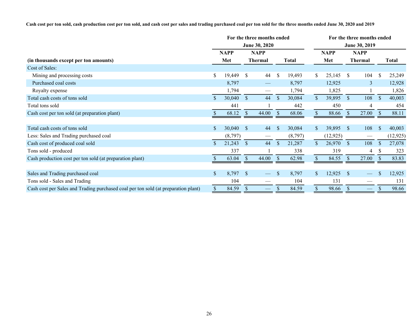**Cash cost per ton sold, cash production cost per ton sold, and cash cost per sales and trading purchased coal per ton sold for the three months ended June 30, 2020 and 2019**

|                                                                                    |              |             |               | For the three months ended |               |              |                |             | For the three months ended |                             |               |           |  |  |  |
|------------------------------------------------------------------------------------|--------------|-------------|---------------|----------------------------|---------------|--------------|----------------|-------------|----------------------------|-----------------------------|---------------|-----------|--|--|--|
|                                                                                    |              |             |               | June 30, 2020              |               |              |                |             |                            | June 30, 2019               |               |           |  |  |  |
|                                                                                    |              | <b>NAPP</b> |               | <b>NAPP</b>                |               |              |                | <b>NAPP</b> |                            | <b>NAPP</b>                 |               |           |  |  |  |
| (in thousands except per ton amounts)                                              |              | Met         |               | <b>Thermal</b>             |               | <b>Total</b> |                | Met         |                            | Thermal                     |               | Total     |  |  |  |
| Cost of Sales:                                                                     |              |             |               |                            |               |              |                |             |                            |                             |               |           |  |  |  |
| Mining and processing costs                                                        | \$           | 19,449      | <sup>\$</sup> | 44                         | $\mathcal{S}$ | 19,493       | S.             | 25,145      | <sup>S</sup>               | 104                         | \$            | 25,249    |  |  |  |
| Purchased coal costs                                                               |              | 8,797       |               | $\overline{\phantom{0}}$   |               | 8,797        |                | 12,925      |                            | 3                           |               | 12,928    |  |  |  |
| Royalty expense                                                                    |              | 1,794       |               |                            |               | 1,794        |                | 1,825       |                            |                             |               | 1,826     |  |  |  |
| Total cash costs of tons sold                                                      | $\mathbb{S}$ | 30,040      | $\mathcal{S}$ | 44                         | $\mathcal{S}$ | 30,084       | $\mathbb{S}$   | 39,895      | $\mathbb{S}$               | 108                         | $\sqrt{\ }$   | 40,003    |  |  |  |
| Total tons sold                                                                    |              | 441         |               |                            |               | 442          |                | 450         |                            | 4                           |               | 454       |  |  |  |
| Cash cost per ton sold (at preparation plant)                                      |              | 68.12       | <sup>S</sup>  | 44.00                      |               | 68.06        |                | 88.66       | -S                         | 27.00                       |               | 88.11     |  |  |  |
|                                                                                    |              |             |               |                            |               |              |                |             |                            |                             |               |           |  |  |  |
| Total cash costs of tons sold                                                      |              | 30,040      | <sup>S</sup>  | 44                         | <sup>\$</sup> | 30,084       | S.             | 39,895      | <sup>S</sup>               | 108                         | <sup>\$</sup> | 40,003    |  |  |  |
| Less: Sales and Trading purchased coal                                             |              | (8,797)     |               |                            |               | (8,797)      |                | (12, 925)   |                            | $\overbrace{\hspace{15em}}$ |               | (12, 925) |  |  |  |
| Cash cost of produced coal sold                                                    |              | 21,243      | <sup>S</sup>  | 44                         | $\mathcal{S}$ | 21,287       | $\mathbb{S}^-$ | 26,970      | <sup>S</sup>               | 108                         | <sup>\$</sup> | 27,078    |  |  |  |
| Tons sold - produced                                                               |              | 337         |               |                            |               | 338          |                | 319         |                            | 4                           |               | 323       |  |  |  |
| Cash production cost per ton sold (at preparation plant)                           |              | 63.04       | $\mathcal{S}$ | 44.00                      | <sup>\$</sup> | 62.98        |                | 84.55       | -S                         | 27.00                       |               | 83.83     |  |  |  |
|                                                                                    |              |             |               |                            |               |              |                |             |                            |                             |               |           |  |  |  |
| Sales and Trading purchased coal                                                   | $\mathbb{S}$ | 8,797       | <sup>S</sup>  |                            | <sup>\$</sup> | 8,797        | $\mathbb{S}^-$ | 12,925      | <sup>S</sup>               |                             | \$            | 12,925    |  |  |  |
| Tons sold - Sales and Trading                                                      |              | 104         |               |                            |               | 104          |                | 131         |                            |                             |               | 131       |  |  |  |
| Cash cost per Sales and Trading purchased coal per ton sold (at preparation plant) | \$           | 84.59       | <sup>S</sup>  | $\hspace{0.05cm}$          |               | 84.59        | \$             | 98.66       | <sup>S</sup>               | $\overline{\phantom{m}}$    |               | 98.66     |  |  |  |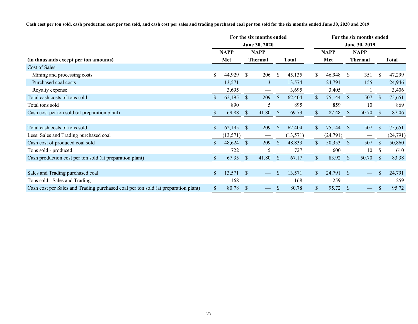**Cash cost per ton sold, cash production cost per ton sold, and cash cost per sales and trading purchased coal per ton sold for the six months ended June 30, 2020 and 2019**

|                                                                                    |               |             |                | For the six months ended |               |           |                |             |               | For the six months ended |               |              |  |  |  |  |  |
|------------------------------------------------------------------------------------|---------------|-------------|----------------|--------------------------|---------------|-----------|----------------|-------------|---------------|--------------------------|---------------|--------------|--|--|--|--|--|
|                                                                                    | June 30, 2020 |             |                |                          |               |           |                |             |               | June 30, 2019            |               |              |  |  |  |  |  |
|                                                                                    |               | <b>NAPP</b> |                | <b>NAPP</b>              |               |           |                | <b>NAPP</b> |               | <b>NAPP</b>              |               |              |  |  |  |  |  |
| (in thousands except per ton amounts)                                              |               | Met         | <b>Thermal</b> |                          | <b>Total</b>  |           |                | Met         | Thermal       |                          |               | <b>Total</b> |  |  |  |  |  |
| Cost of Sales:                                                                     |               |             |                |                          |               |           |                |             |               |                          |               |              |  |  |  |  |  |
| Mining and processing costs                                                        | S.            | 44,929      | <sup>\$</sup>  | 206                      | $\mathbb{S}$  | 45,135    | S.             | 46,948      | <sup>S</sup>  | 351                      | S.            | 47,299       |  |  |  |  |  |
| Purchased coal costs                                                               |               | 13,571      |                | $\overline{3}$           |               | 13,574    |                | 24,791      |               | 155                      |               | 24,946       |  |  |  |  |  |
| Royalty expense                                                                    |               | 3,695       |                | $\hspace{0.05cm}$        |               | 3,695     |                | 3,405       |               |                          |               | 3,406        |  |  |  |  |  |
| Total cash costs of tons sold                                                      | $\mathbb{S}$  | 62,195      | $\mathcal{S}$  | 209                      | <sup>S</sup>  | 62,404    | $\mathbb{S}$   | 75,144      | $\mathcal{S}$ | 507                      | $\mathcal{S}$ | 75,651       |  |  |  |  |  |
| Total tons sold                                                                    |               | 890         |                | 5                        |               | 895       |                | 859         |               | 10                       |               | 869          |  |  |  |  |  |
| Cash cost per ton sold (at preparation plant)                                      |               | 69.88       | <sup>S</sup>   | 41.80                    | -S            | 69.73     |                | 87.48       | -S            | 50.70                    |               | 87.06        |  |  |  |  |  |
|                                                                                    |               |             |                |                          |               |           |                |             |               |                          |               |              |  |  |  |  |  |
| Total cash costs of tons sold                                                      |               | 62,195      | <sup>S</sup>   | 209                      | <sup>\$</sup> | 62,404    | S.             | 75,144      | <sup>S</sup>  | 507                      | <b>S</b>      | 75,651       |  |  |  |  |  |
| Less: Sales and Trading purchased coal                                             |               | (13, 571)   |                |                          |               | (13, 571) |                | (24, 791)   |               |                          |               | (24, 791)    |  |  |  |  |  |
| Cash cost of produced coal sold                                                    |               | 48,624      | <sup>S</sup>   | 209                      | $\mathbb{S}$  | 48,833    | $\mathbb{S}^-$ | 50,353      | <sup>S</sup>  | 507                      | <sup>\$</sup> | 50,860       |  |  |  |  |  |
| Tons sold - produced                                                               |               | 722         |                | 5                        |               | 727       |                | 600         |               | 10                       |               | 610          |  |  |  |  |  |
| Cash production cost per ton sold (at preparation plant)                           |               | 67.35       | $\mathcal{S}$  | 41.80                    | -S            | 67.17     |                | 83.92       | -S            | 50.70                    |               | 83.38        |  |  |  |  |  |
|                                                                                    |               |             |                |                          |               |           |                |             |               |                          |               |              |  |  |  |  |  |
| Sales and Trading purchased coal                                                   | $\mathbb{S}$  | 13,571      | <sup>S</sup>   |                          | \$.           | 13,571    | $\mathbb{S}^-$ | 24,791      | <sup>S</sup>  |                          | \$            | 24,791       |  |  |  |  |  |
| Tons sold - Sales and Trading                                                      |               | 168         |                |                          |               | 168       |                | 259         |               |                          |               | 259          |  |  |  |  |  |
| Cash cost per Sales and Trading purchased coal per ton sold (at preparation plant) | \$            | 80.78       | <sup>S</sup>   | $\overline{\phantom{0}}$ | S             | 80.78     | \$             | 95.72       | <sup>S</sup>  | $\overline{\phantom{m}}$ |               | 95.72        |  |  |  |  |  |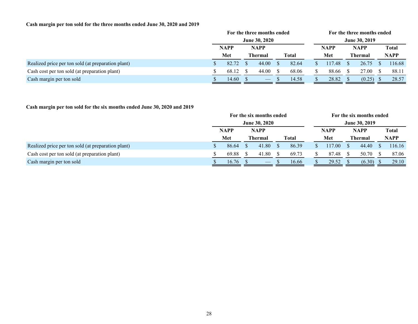# **Cash margin per ton sold for the three months ended June 30, 2020 and 2019**

|                                                    | For the three months ended |                      |  |                                |  |              |                      |             | For the three months ended |             |             |              |  |  |  |
|----------------------------------------------------|----------------------------|----------------------|--|--------------------------------|--|--------------|----------------------|-------------|----------------------------|-------------|-------------|--------------|--|--|--|
|                                                    |                            | <b>June 30, 2020</b> |  |                                |  |              | <b>June 30, 2019</b> |             |                            |             |             |              |  |  |  |
|                                                    |                            | <b>NAPP</b>          |  | <b>NAPP</b>                    |  |              |                      | <b>NAPP</b> |                            | <b>NAPP</b> |             | <b>Total</b> |  |  |  |
|                                                    |                            | Met                  |  | <b>Thermal</b>                 |  | <b>Total</b> |                      | Met         | <b>Thermal</b>             |             | <b>NAPP</b> |              |  |  |  |
| Realized price per ton sold (at preparation plant) |                            | 82.72                |  | 44.00                          |  | 82.64        |                      | 117.48      |                            | 26.75       |             | 116.68       |  |  |  |
| Cash cost per ton sold (at preparation plant)      |                            | 68.12                |  | 44.00                          |  | 68.06        |                      | 88.66       |                            | 27.00       |             | 88.11        |  |  |  |
| Cash margin per ton sold                           |                            | 14.60                |  | $\overbrace{\hspace{25mm}}^{}$ |  | 14.58        |                      | 28.82       |                            | (0.25)      |             | 28.57        |  |  |  |

# **Cash margin per ton sold for the six months ended June 30, 2020 and 2019**

|                                                    |                      |  | For the six months ended       |  |              |  |             | For the six months ended |        |             |              |  |  |
|----------------------------------------------------|----------------------|--|--------------------------------|--|--------------|--|-------------|--------------------------|--------|-------------|--------------|--|--|
|                                                    | <b>June 30, 2020</b> |  |                                |  |              |  |             | <b>June 30, 2019</b>     |        |             |              |  |  |
|                                                    | <b>NAPP</b>          |  | <b>NAPP</b>                    |  |              |  | <b>NAPP</b> | <b>NAPP</b>              |        |             | <b>Total</b> |  |  |
|                                                    | Met                  |  | <b>Thermal</b>                 |  | <b>Total</b> |  | Met         | <b>Thermal</b>           |        | <b>NAPP</b> |              |  |  |
| Realized price per ton sold (at preparation plant) | 86.64                |  | 41.80                          |  | 86.39        |  | 117.00      |                          | 44.40  |             | 116.16       |  |  |
| Cash cost per ton sold (at preparation plant)      | 69.88                |  | 41.80                          |  | 69.73        |  | 87.48       |                          | 50.70  |             | 87.06        |  |  |
| Cash margin per ton sold                           | 16.76                |  | $\overbrace{\hspace{25mm}}^{}$ |  | 16.66        |  | 29.52       |                          | (6.30) |             | 29.10        |  |  |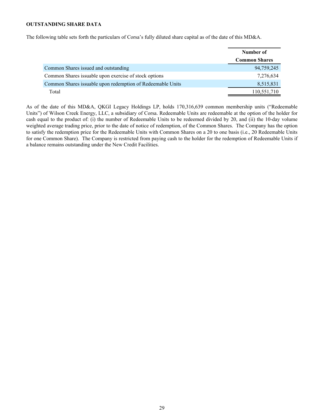# <span id="page-28-0"></span>**OUTSTANDING SHARE DATA**

The following table sets forth the particulars of Corsa's fully diluted share capital as of the date of this MD&A.

|                                                            | Number of            |
|------------------------------------------------------------|----------------------|
|                                                            | <b>Common Shares</b> |
| Common Shares issued and outstanding                       | 94,759,245           |
| Common Shares issuable upon exercise of stock options      | 7,276,634            |
| Common Shares issuable upon redemption of Redeemable Units | 8,515,831            |
| Total                                                      | 110,551,710          |

As of the date of this MD&A, QKGI Legacy Holdings LP, holds 170,316,639 common membership units ("Redeemable Units") of Wilson Creek Energy, LLC, a subsidiary of Corsa. Redeemable Units are redeemable at the option of the holder for cash equal to the product of: (i) the number of Redeemable Units to be redeemed divided by 20, and (ii) the 10-day volume weighted average trading price, prior to the date of notice of redemption, of the Common Shares. The Company has the option to satisfy the redemption price for the Redeemable Units with Common Shares on a 20 to one basis (i.e., 20 Redeemable Units for one Common Share). The Company is restricted from paying cash to the holder for the redemption of Redeemable Units if a balance remains outstanding under the New Credit Facilities.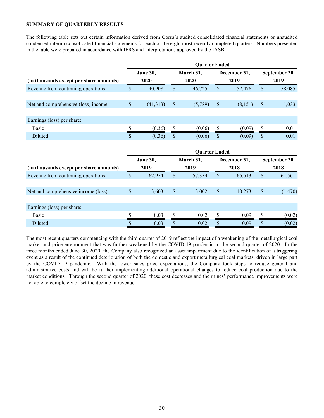## <span id="page-29-0"></span>**SUMMARY OF QUARTERLY RESULTS**

The following table sets out certain information derived from Corsa's audited consolidated financial statements or unaudited condensed interim consolidated financial statements for each of the eight most recently completed quarters. Numbers presented in the table were prepared in accordance with IFRS and interpretations approved by the IASB.

|                                         | <b>Quarter Ended</b> |                 |    |                      |               |              |               |         |  |  |
|-----------------------------------------|----------------------|-----------------|----|----------------------|---------------|--------------|---------------|---------|--|--|
| (in thousands except per share amounts) |                      | <b>June 30,</b> |    | March 31,            |               | December 31, | September 30, |         |  |  |
|                                         |                      | 2020            |    | 2020                 |               | 2019         | 2019          |         |  |  |
| Revenue from continuing operations      | $\mathsf{\$}$        | 40,908          | \$ | 46,725               | \$            | 52,476       | \$            | 58,085  |  |  |
| Net and comprehensive (loss) income     | $\mathsf{\$}$        | (41,313)        | \$ | (5,789)              | $\mathcal{S}$ | (8,151)      | \$            | 1,033   |  |  |
|                                         |                      |                 |    |                      |               |              |               |         |  |  |
| Earnings (loss) per share:              |                      |                 |    |                      |               |              |               |         |  |  |
| <b>Basic</b>                            | \$                   | (0.36)          | \$ | (0.06)               | \$            | (0.09)       | \$            | 0.01    |  |  |
| Diluted                                 | \$                   | (0.36)          | \$ | (0.06)               | \$            | (0.09)       | \$            | 0.01    |  |  |
|                                         |                      |                 |    |                      |               |              |               |         |  |  |
|                                         |                      |                 |    | <b>Quarter Ended</b> |               |              |               |         |  |  |
|                                         |                      | June 30,        |    | March 31,            |               | December 31, | September 30, |         |  |  |
| (in thousands except per share amounts) |                      | 2019            |    | 2019                 |               | 2018         | 2018          |         |  |  |
| Revenue from continuing operations      | \$                   | 62,974          | \$ | 57,334               | \$            | 66,513       | \$            | 61,561  |  |  |
|                                         |                      |                 |    |                      |               |              |               |         |  |  |
| Net and comprehensive income (loss)     | $\mathbb{S}$         | 3,603           | \$ | 3,002                | \$            | 10,273       | \$            | (1,470) |  |  |
|                                         |                      |                 |    |                      |               |              |               |         |  |  |
| Earnings (loss) per share:              |                      |                 |    |                      |               |              |               |         |  |  |
| <b>Basic</b>                            | \$                   | 0.03            | S  | 0.02                 | S             | 0.09         | \$            | (0.02)  |  |  |
| Diluted                                 | \$                   | 0.03            | \$ | 0.02                 | \$            | 0.09         | \$            | (0.02)  |  |  |

The most recent quarters commencing with the third quarter of 2019 reflect the impact of a weakening of the metallurgical coal market and price environment that was further weakened by the COVID-19 pandemic in the second quarter of 2020. In the three months ended June 30, 2020, the Company also recognized an asset impairment due to the identification of a triggering event as a result of the continued deterioration of both the domestic and export metallurgical coal markets, driven in large part by the COVID-19 pandemic. With the lower sales price expectations, the Company took steps to reduce general and administrative costs and will be further implementing additional operational changes to reduce coal production due to the market conditions. Through the second quarter of 2020, these cost decreases and the mines' performance improvements were not able to completely offset the decline in revenue.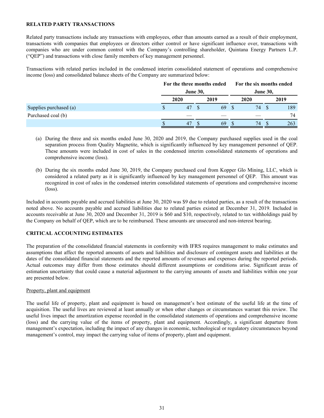#### <span id="page-30-0"></span>**RELATED PARTY TRANSACTIONS**

Related party transactions include any transactions with employees, other than amounts earned as a result of their employment, transactions with companies that employees or directors either control or have significant influence over, transactions with companies who are under common control with the Company's controlling shareholder, Quintana Energy Partners L.P. ("QEP") and transactions with close family members of key management personnel.

Transactions with related parties included in the condensed interim consolidated statement of operations and comprehensive income (loss) and consolidated balance sheets of the Company are summarized below:

|                        | For the three months ended |      |  | For the six months ended<br><b>June 30,</b> |  |      |  |      |
|------------------------|----------------------------|------|--|---------------------------------------------|--|------|--|------|
|                        | <b>June 30,</b>            |      |  |                                             |  |      |  |      |
|                        |                            | 2020 |  | 2019                                        |  | 2020 |  | 2019 |
| Supplies purchased (a) |                            | 47   |  | 69                                          |  | 74   |  | 189  |
| Purchased coal (b)     |                            |      |  |                                             |  |      |  | 74   |
|                        |                            | 47   |  | 69                                          |  | 74   |  | 263  |

- (a) During the three and six months ended June 30, 2020 and 2019, the Company purchased supplies used in the coal separation process from Quality Magnetite, which is significantly influenced by key management personnel of QEP. These amounts were included in cost of sales in the condensed interim consolidated statements of operations and comprehensive income (loss).
- (b) During the six months ended June 30, 2019, the Company purchased coal from Kopper Glo Mining, LLC, which is considered a related party as it is significantly influenced by key management personnel of QEP. This amount was recognized in cost of sales in the condensed interim consolidated statements of operations and comprehensive income (loss).

Included in accounts payable and accrued liabilities at June 30, 2020 was \$9 due to related parties, as a result of the transactions noted above. No accounts payable and accrued liabilities due to related parties existed at December 31, 2019. Included in accounts receivable at June 30, 2020 and December 31, 2019 is \$60 and \$10, respectively, related to tax withholdings paid by the Company on behalf of QEP, which are to be reimbursed. These amounts are unsecured and non-interest bearing.

## **CRITICAL ACCOUNTING ESTIMATES**

The preparation of the consolidated financial statements in conformity with IFRS requires management to make estimates and assumptions that affect the reported amounts of assets and liabilities and disclosure of contingent assets and liabilities at the dates of the consolidated financial statements and the reported amounts of revenues and expenses during the reported periods. Actual outcomes may differ from those estimates should different assumptions or conditions arise. Significant areas of estimation uncertainty that could cause a material adjustment to the carrying amounts of assets and liabilities within one year are presented below.

#### Property, plant and equipment

The useful life of property, plant and equipment is based on management's best estimate of the useful life at the time of acquisition. The useful lives are reviewed at least annually or when other changes or circumstances warrant this review. The useful lives impact the amortization expense recorded in the consolidated statements of operations and comprehensive income (loss) and the carrying value of the items of property, plant and equipment. Accordingly, a significant departure from management's expectation, including the impact of any changes in economic, technological or regulatory circumstances beyond management's control, may impact the carrying value of items of property, plant and equipment.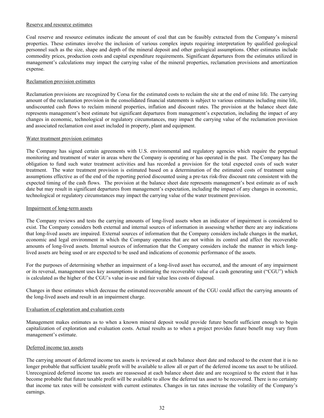#### Reserve and resource estimates

Coal reserve and resource estimates indicate the amount of coal that can be feasibly extracted from the Company's mineral properties. These estimates involve the inclusion of various complex inputs requiring interpretation by qualified geological personnel such as the size, shape and depth of the mineral deposit and other geological assumptions. Other estimates include commodity prices, production costs and capital expenditure requirements. Significant departures from the estimates utilized in management's calculations may impact the carrying value of the mineral properties, reclamation provisions and amortization expense.

## Reclamation provision estimates

Reclamation provisions are recognized by Corsa for the estimated costs to reclaim the site at the end of mine life. The carrying amount of the reclamation provision in the consolidated financial statements is subject to various estimates including mine life, undiscounted cash flows to reclaim mineral properties, inflation and discount rates. The provision at the balance sheet date represents management's best estimate but significant departures from management's expectation, including the impact of any changes in economic, technological or regulatory circumstances, may impact the carrying value of the reclamation provision and associated reclamation cost asset included in property, plant and equipment.

#### Water treatment provision estimates

The Company has signed certain agreements with U.S. environmental and regulatory agencies which require the perpetual monitoring and treatment of water in areas where the Company is operating or has operated in the past. The Company has the obligation to fund such water treatment activities and has recorded a provision for the total expected costs of such water treatment. The water treatment provision is estimated based on a determination of the estimated costs of treatment using assumptions effective as of the end of the reporting period discounted using a pre-tax risk-free discount rate consistent with the expected timing of the cash flows. The provision at the balance sheet date represents management's best estimate as of such date but may result in significant departures from management's expectation, including the impact of any changes in economic, technological or regulatory circumstances may impact the carrying value of the water treatment provision.

#### Impairment of long-term assets

The Company reviews and tests the carrying amounts of long-lived assets when an indicator of impairment is considered to exist. The Company considers both external and internal sources of information in assessing whether there are any indications that long-lived assets are impaired. External sources of information that the Company considers include changes in the market, economic and legal environment in which the Company operates that are not within its control and affect the recoverable amounts of long-lived assets. Internal sources of information that the Company considers include the manner in which longlived assets are being used or are expected to be used and indications of economic performance of the assets.

For the purposes of determining whether an impairment of a long-lived asset has occurred, and the amount of any impairment or its reversal, management uses key assumptions in estimating the recoverable value of a cash generating unit ("CGU") which is calculated as the higher of the CGU's value in-use and fair value less costs of disposal.

Changes in these estimates which decrease the estimated recoverable amount of the CGU could affect the carrying amounts of the long-lived assets and result in an impairment charge.

## Evaluation of exploration and evaluation costs

Management makes estimates as to when a known mineral deposit would provide future benefit sufficient enough to begin capitalization of exploration and evaluation costs. Actual results as to when a project provides future benefit may vary from management's estimate.

#### Deferred income tax assets

The carrying amount of deferred income tax assets is reviewed at each balance sheet date and reduced to the extent that it is no longer probable that sufficient taxable profit will be available to allow all or part of the deferred income tax asset to be utilized. Unrecognized deferred income tax assets are reassessed at each balance sheet date and are recognized to the extent that it has become probable that future taxable profit will be available to allow the deferred tax asset to be recovered. There is no certainty that income tax rates will be consistent with current estimates. Changes in tax rates increase the volatility of the Company's earnings.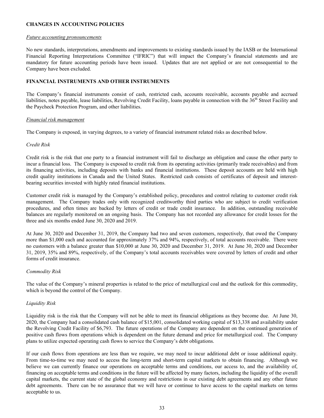## <span id="page-32-0"></span>**CHANGES IN ACCOUNTING POLICIES**

#### *Future accounting pronouncements*

No new standards, interpretations, amendments and improvements to existing standards issued by the IASB or the International Financial Reporting Interpretations Committee ("IFRIC") that will impact the Company's financial statements and are mandatory for future accounting periods have been issued. Updates that are not applied or are not consequential to the Company have been excluded.

# **FINANCIAL INSTRUMENTS AND OTHER INSTRUMENTS**

The Company's financial instruments consist of cash, restricted cash, accounts receivable, accounts payable and accrued liabilities, notes payable, lease liabilities, Revolving Credit Facility, loans payable in connection with the 36<sup>th</sup> Street Facility and the Paycheck Protection Program, and other liabilities.

## *Financial risk management*

The Company is exposed, in varying degrees, to a variety of financial instrument related risks as described below.

#### *Credit Risk*

Credit risk is the risk that one party to a financial instrument will fail to discharge an obligation and cause the other party to incur a financial loss. The Company is exposed to credit risk from its operating activities (primarily trade receivables) and from its financing activities, including deposits with banks and financial institutions. These deposit accounts are held with high credit quality institutions in Canada and the United States. Restricted cash consists of certificates of deposit and interestbearing securities invested with highly rated financial institutions.

Customer credit risk is managed by the Company's established policy, procedures and control relating to customer credit risk management. The Company trades only with recognized creditworthy third parties who are subject to credit verification procedures, and often times are backed by letters of credit or trade credit insurance. In addition, outstanding receivable balances are regularly monitored on an ongoing basis. The Company has not recorded any allowance for credit losses for the three and six months ended June 30, 2020 and 2019.

At June 30, 2020 and December 31, 2019, the Company had two and seven customers, respectively, that owed the Company more than \$1,000 each and accounted for approximately 37% and 94%, respectively, of total accounts receivable. There were no customers with a balance greater than \$10,000 at June 30, 2020 and December 31, 2019. At June 30, 2020 and December 31, 2019, 35% and 89%, respectively, of the Company's total accounts receivables were covered by letters of credit and other forms of credit insurance.

## *Commodity Risk*

The value of the Company's mineral properties is related to the price of metallurgical coal and the outlook for this commodity, which is beyond the control of the Company.

## *Liquidity Risk*

Liquidity risk is the risk that the Company will not be able to meet its financial obligations as they become due. At June 30, 2020, the Company had a consolidated cash balance of \$15,001, consolidated working capital of \$13,338 and availability under the Revolving Credit Facility of \$6,793. The future operations of the Company are dependent on the continued generation of positive cash flows from operations which is dependent on the future demand and price for metallurgical coal. The Company plans to utilize expected operating cash flows to service the Company's debt obligations.

If our cash flows from operations are less than we require, we may need to incur additional debt or issue additional equity. From time-to-time we may need to access the long-term and short-term capital markets to obtain financing. Although we believe we can currently finance our operations on acceptable terms and conditions, our access to, and the availability of, financing on acceptable terms and conditions in the future will be affected by many factors, including the liquidity of the overall capital markets, the current state of the global economy and restrictions in our existing debt agreements and any other future debt agreements. There can be no assurance that we will have or continue to have access to the capital markets on terms acceptable to us.